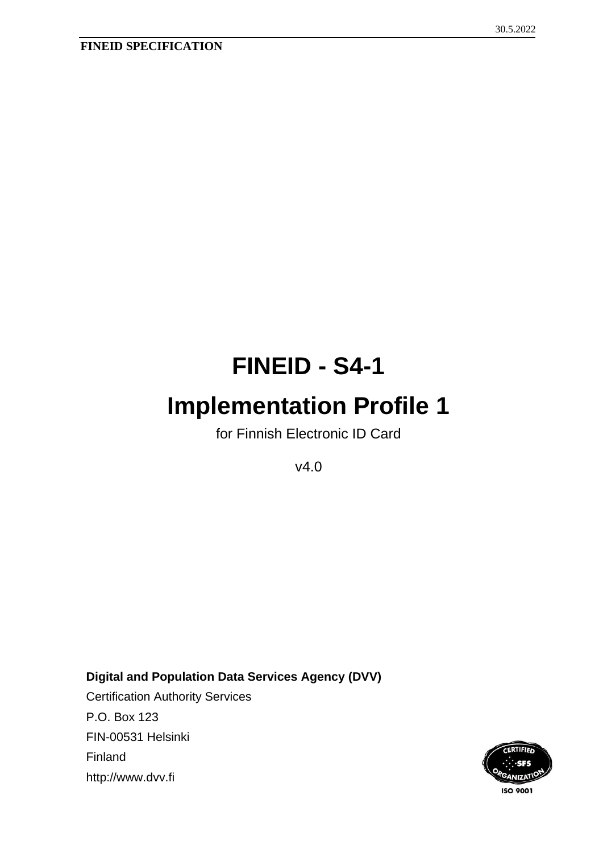# **FINEID - S4-1**

# **Implementation Profile 1**

for Finnish Electronic ID Card

v4.0

**Digital and Population Data Services Agency (DVV)** Certification Authority Services P.O. Box 123 FIN-00531 Helsinki Finland

http://www.dvv.fi

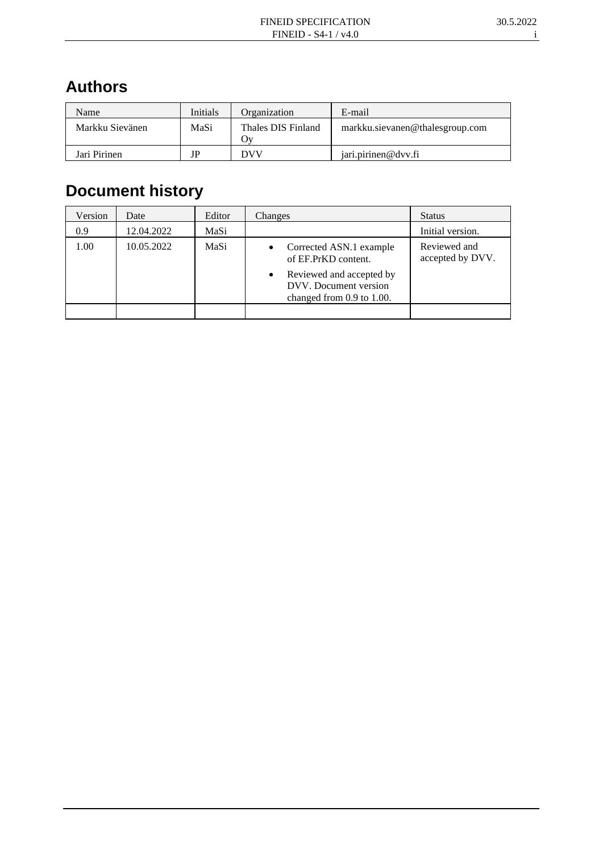# **Authors**

| Name            | Initials | Organization              | E-mail                          |
|-----------------|----------|---------------------------|---------------------------------|
| Markku Sievänen | MaSi     | Thales DIS Finland<br>7V) | markku.sievanen@thalesgroup.com |
| Jari Pirinen    | JP       | DVV                       | iari.pirinen@dvv.fi             |

# **Document history**

| Version | Date       | Editor | Changes                                                                                                                                                 | <b>Status</b>                    |
|---------|------------|--------|---------------------------------------------------------------------------------------------------------------------------------------------------------|----------------------------------|
| 0.9     | 12.04.2022 | MaSi   |                                                                                                                                                         | Initial version.                 |
| 1.00    | 10.05.2022 | MaSi   | Corrected ASN.1 example<br>٠<br>of EF.PrKD content.<br>Reviewed and accepted by<br>$\bullet$<br>DVV. Document version<br>changed from $0.9$ to $1.00$ . | Reviewed and<br>accepted by DVV. |
|         |            |        |                                                                                                                                                         |                                  |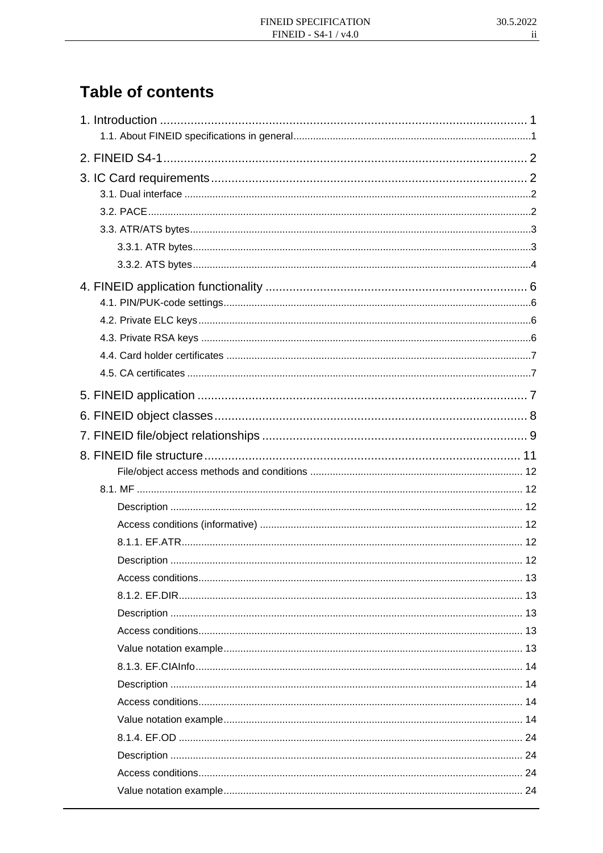# **Table of contents**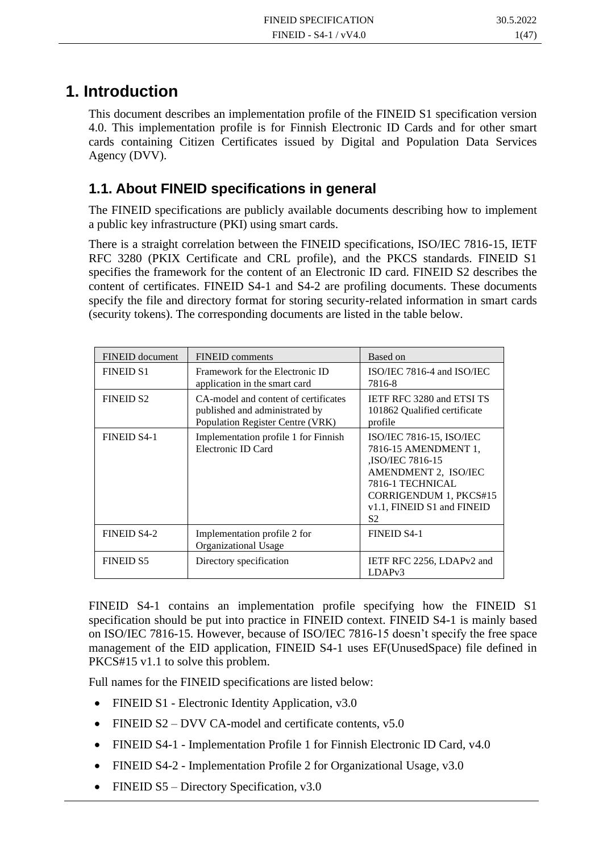# **1. Introduction**

This document describes an implementation profile of the FINEID S1 specification version 4.0. This implementation profile is for Finnish Electronic ID Cards and for other smart cards containing Citizen Certificates issued by Digital and Population Data Services Agency (DVV).

## **1.1. About FINEID specifications in general**

The FINEID specifications are publicly available documents describing how to implement a public key infrastructure (PKI) using smart cards.

There is a straight correlation between the FINEID specifications, ISO/IEC 7816-15, IETF RFC 3280 (PKIX Certificate and CRL profile), and the PKCS standards. FINEID S1 specifies the framework for the content of an Electronic ID card. FINEID S2 describes the content of certificates. FINEID S4-1 and S4-2 are profiling documents. These documents specify the file and directory format for storing security-related information in smart cards (security tokens). The corresponding documents are listed in the table below.

| FINEID document    | <b>FINEID</b> comments                                                                                     | Based on                                                                                                                                                                             |
|--------------------|------------------------------------------------------------------------------------------------------------|--------------------------------------------------------------------------------------------------------------------------------------------------------------------------------------|
| <b>FINEID S1</b>   | Framework for the Electronic ID<br>application in the smart card                                           | ISO/IEC 7816-4 and ISO/IEC<br>7816-8                                                                                                                                                 |
| <b>FINEID S2</b>   | CA-model and content of certificates<br>published and administrated by<br>Population Register Centre (VRK) | <b>IETF RFC 3280 and ETSI TS</b><br>101862 Qualified certificate<br>profile                                                                                                          |
| <b>FINEID S4-1</b> | Implementation profile 1 for Finnish<br>Electronic ID Card                                                 | ISO/IEC 7816-15, ISO/IEC<br>7816-15 AMENDMENT 1,<br><b>ISO/IEC 7816-15</b><br>AMENDMENT 2, ISO/IEC<br>7816-1 TECHNICAL<br>CORRIGENDUM 1, PKCS#15<br>v1.1, FINEID S1 and FINEID<br>S2 |
| <b>FINEID S4-2</b> | Implementation profile 2 for<br>Organizational Usage                                                       | <b>FINEID S4-1</b>                                                                                                                                                                   |
| <b>FINEID S5</b>   | Directory specification                                                                                    | IETF RFC 2256, LDAPv2 and<br>LDAP <sub>v3</sub>                                                                                                                                      |

FINEID S4-1 contains an implementation profile specifying how the FINEID S1 specification should be put into practice in FINEID context. FINEID S4-1 is mainly based on ISO/IEC 7816-15. However, because of ISO/IEC 7816-15 doesn't specify the free space management of the EID application, FINEID S4-1 uses EF(UnusedSpace) file defined in PKCS#15 v1.1 to solve this problem.

Full names for the FINEID specifications are listed below:

- FINEID S1 Electronic Identity Application, v3.0
- FINEID  $S2 DVV$  CA-model and certificate contents,  $v5.0$
- FINEID S4-1 Implementation Profile 1 for Finnish Electronic ID Card, v4.0
- FINEID S4-2 Implementation Profile 2 for Organizational Usage, v3.0
- FINEID S5 Directory Specification, v3.0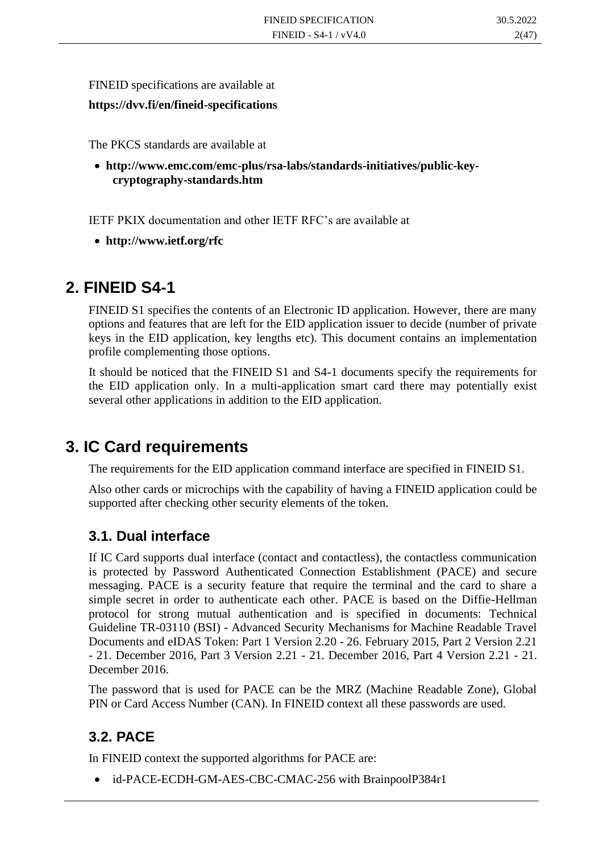FINEID specifications are available at

**https://dvv.fi/en/fineid-specifications**

The PKCS standards are available at

• **http://www.emc.com/emc-plus/rsa-labs/standards-initiatives/public-keycryptography-standards.htm**

IETF PKIX documentation and other IETF RFC's are available at

• **http://www.ietf.org/rfc**

## **2. FINEID S4-1**

FINEID S1 specifies the contents of an Electronic ID application. However, there are many options and features that are left for the EID application issuer to decide (number of private keys in the EID application, key lengths etc). This document contains an implementation profile complementing those options.

It should be noticed that the FINEID S1 and S4-1 documents specify the requirements for the EID application only. In a multi-application smart card there may potentially exist several other applications in addition to the EID application.

# **3. IC Card requirements**

The requirements for the EID application command interface are specified in FINEID S1.

Also other cards or microchips with the capability of having a FINEID application could be supported after checking other security elements of the token.

## **3.1. Dual interface**

If IC Card supports dual interface (contact and contactless), the contactless communication is protected by Password Authenticated Connection Establishment (PACE) and secure messaging. PACE is a security feature that require the terminal and the card to share a simple secret in order to authenticate each other. PACE is based on the Diffie-Hellman protocol for strong mutual authentication and is specified in documents: Technical Guideline TR-03110 (BSI) - Advanced Security Mechanisms for Machine Readable Travel Documents and eIDAS Token: Part 1 Version 2.20 - 26. February 2015, Part 2 Version 2.21 - 21. December 2016, Part 3 Version 2.21 - 21. December 2016, Part 4 Version 2.21 - 21. December 2016.

The password that is used for PACE can be the MRZ (Machine Readable Zone), Global PIN or Card Access Number (CAN). In FINEID context all these passwords are used.

## **3.2. PACE**

In FINEID context the supported algorithms for PACE are:

• id-PACE-ECDH-GM-AES-CBC-CMAC-256 with BrainpoolP384r1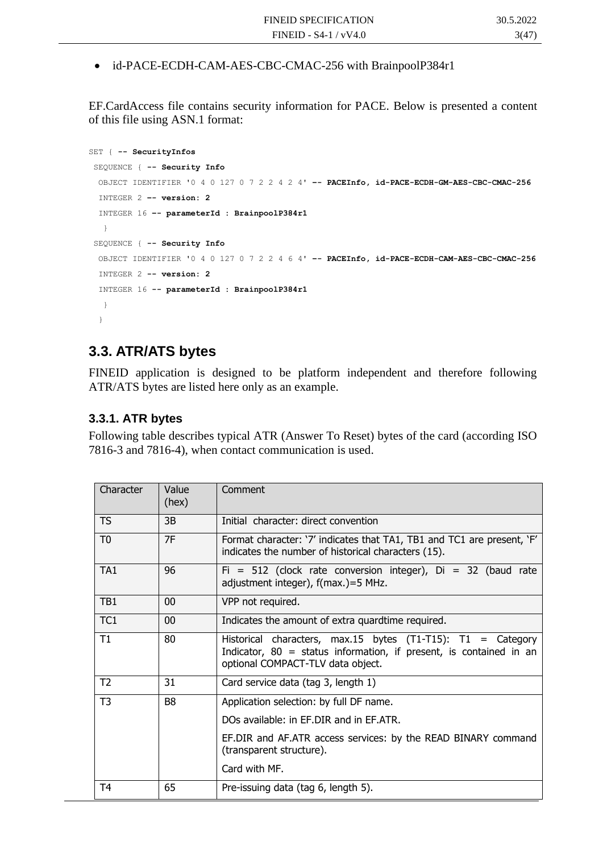• id-PACE-ECDH-CAM-AES-CBC-CMAC-256 with BrainpoolP384r1

EF.CardAccess file contains security information for PACE. Below is presented a content of this file using ASN.1 format:

```
SET { -- SecurityInfos
SEQUENCE { -- Security Info
  OBJECT IDENTIFIER '0 4 0 127 0 7 2 2 4 2 4' –- PACEInfo, id-PACE-ECDH-GM-AES-CBC-CMAC-256
  INTEGER 2 –- version: 2
   INTEGER 16 –- parameterId : BrainpoolP384r1
   }
SEQUENCE { -- Security Info
  OBJECT IDENTIFIER '0 4 0 127 0 7 2 2 4 6 4' –- PACEInfo, id-PACE-ECDH-CAM-AES-CBC-CMAC-256
   INTEGER 2 -- version: 2
   INTEGER 16 -- parameterId : BrainpoolP384r1
   }
   }
```
### **3.3. ATR/ATS bytes**

FINEID application is designed to be platform independent and therefore following ATR/ATS bytes are listed here only as an example.

#### **3.3.1. ATR bytes**

Following table describes typical ATR (Answer To Reset) bytes of the card (according ISO 7816-3 and 7816-4), when contact communication is used.

| Character       | Value<br>(hex) | Comment                                                                                                                                                                     |  |  |
|-----------------|----------------|-----------------------------------------------------------------------------------------------------------------------------------------------------------------------------|--|--|
| TS              | 3B             | Initial character: direct convention                                                                                                                                        |  |  |
| T <sub>0</sub>  | 7F             | Format character: '7' indicates that TA1, TB1 and TC1 are present, 'F'<br>indicates the number of historical characters (15).                                               |  |  |
| TA <sub>1</sub> | 96             | $Fi = 512$ (clock rate conversion integer), $Di = 32$ (baud rate<br>adjustment integer), f(max.)=5 MHz.                                                                     |  |  |
| TB1             | 00             | VPP not required.                                                                                                                                                           |  |  |
| TC1             | 00             | Indicates the amount of extra quardtime required.                                                                                                                           |  |  |
| Τ1              | 80             | Historical characters, max.15 bytes $(T1-T15)$ : T1 = Category<br>Indicator, $80 =$ status information, if present, is contained in an<br>optional COMPACT-TLV data object. |  |  |
| T <sub>2</sub>  | 31             | Card service data (tag 3, length 1)                                                                                                                                         |  |  |
| T <sub>3</sub>  | B <sub>8</sub> | Application selection: by full DF name.                                                                                                                                     |  |  |
|                 |                | DOs available: in EF.DIR and in EF.ATR.                                                                                                                                     |  |  |
|                 |                | EF.DIR and AF.ATR access services: by the READ BINARY command<br>(transparent structure).                                                                                   |  |  |
|                 |                | Card with MF.                                                                                                                                                               |  |  |
| T <sub>4</sub>  | 65             | Pre-issuing data (tag 6, length 5).                                                                                                                                         |  |  |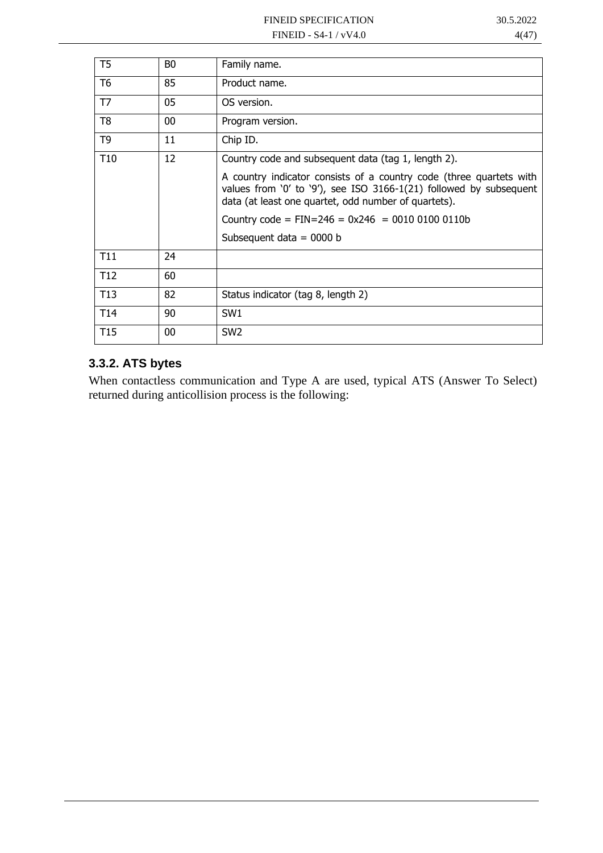| T <sub>5</sub>  | B <sub>0</sub> | Family name.                                                                                                                                                                                      |
|-----------------|----------------|---------------------------------------------------------------------------------------------------------------------------------------------------------------------------------------------------|
| T <sub>6</sub>  | 85             | Product name.                                                                                                                                                                                     |
| T7              | 05             | OS version.                                                                                                                                                                                       |
| T <sub>8</sub>  | 00             | Program version.                                                                                                                                                                                  |
| T <sub>9</sub>  | 11             | Chip ID.                                                                                                                                                                                          |
| T <sub>10</sub> | 12             | Country code and subsequent data (tag 1, length 2).                                                                                                                                               |
|                 |                | A country indicator consists of a country code (three quartets with<br>values from '0' to '9'), see ISO 3166-1(21) followed by subsequent<br>data (at least one quartet, odd number of quartets). |
|                 |                | Country code = $FIN=246 = 0x246 = 0010 0100 0110b$                                                                                                                                                |
|                 |                | Subsequent data = $0000$ b                                                                                                                                                                        |
| T <sub>11</sub> | 24             |                                                                                                                                                                                                   |
| T <sub>12</sub> | 60             |                                                                                                                                                                                                   |
| T <sub>13</sub> | 82             | Status indicator (tag 8, length 2)                                                                                                                                                                |
| T <sub>14</sub> | 90             | SW <sub>1</sub>                                                                                                                                                                                   |
| T <sub>15</sub> | 00             | SW <sub>2</sub>                                                                                                                                                                                   |

## **3.3.2. ATS bytes**

When contactless communication and Type A are used, typical ATS (Answer To Select) returned during anticollision process is the following: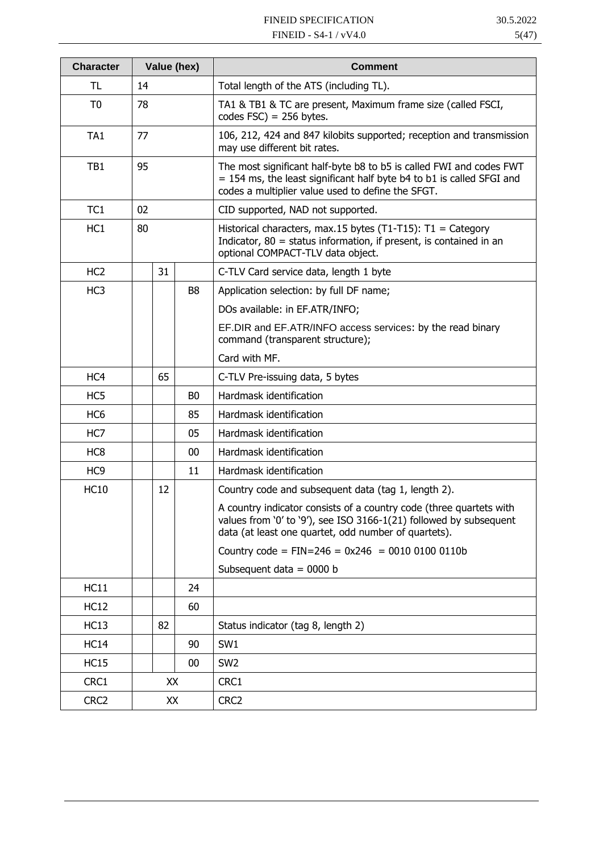| <b>Character</b> | Value (hex)    |    |                | Comment                                                                                                                                                                                           |  |  |
|------------------|----------------|----|----------------|---------------------------------------------------------------------------------------------------------------------------------------------------------------------------------------------------|--|--|
| TL               | 14             |    |                | Total length of the ATS (including TL).                                                                                                                                                           |  |  |
| T <sub>0</sub>   | 78             |    |                | TA1 & TB1 & TC are present, Maximum frame size (called FSCI,<br>codes $FSC$ ) = 256 bytes.                                                                                                        |  |  |
| TA1              | 77             |    |                | 106, 212, 424 and 847 kilobits supported; reception and transmission<br>may use different bit rates.                                                                                              |  |  |
| TB1              | 95             |    |                | The most significant half-byte b8 to b5 is called FWI and codes FWT<br>= 154 ms, the least significant half byte b4 to b1 is called SFGI and<br>codes a multiplier value used to define the SFGT. |  |  |
| TC1              | 02             |    |                | CID supported, NAD not supported.                                                                                                                                                                 |  |  |
| HC <sub>1</sub>  | 80             |    |                | Historical characters, max.15 bytes (T1-T15): $T1 =$ Category<br>Indicator, $80 =$ status information, if present, is contained in an<br>optional COMPACT-TLV data object.                        |  |  |
| HC <sub>2</sub>  |                | 31 |                | C-TLV Card service data, length 1 byte                                                                                                                                                            |  |  |
| HC <sub>3</sub>  |                |    | B <sub>8</sub> | Application selection: by full DF name;                                                                                                                                                           |  |  |
|                  |                |    |                | DOs available: in EF.ATR/INFO;                                                                                                                                                                    |  |  |
|                  |                |    |                | EF. DIR and EF. ATR/INFO access services: by the read binary<br>command (transparent structure);                                                                                                  |  |  |
|                  |                |    |                | Card with MF.                                                                                                                                                                                     |  |  |
| HC4              | 65             |    |                | C-TLV Pre-issuing data, 5 bytes                                                                                                                                                                   |  |  |
| HC5              | B <sub>0</sub> |    |                | Hardmask identification                                                                                                                                                                           |  |  |
| HC <sub>6</sub>  | 85             |    |                | Hardmask identification                                                                                                                                                                           |  |  |
| HC7              | 05             |    |                | Hardmask identification                                                                                                                                                                           |  |  |
| HC <sub>8</sub>  |                |    | 00             | Hardmask identification                                                                                                                                                                           |  |  |
| HC <sub>9</sub>  | 11             |    |                | Hardmask identification                                                                                                                                                                           |  |  |
| <b>HC10</b>      |                | 12 |                | Country code and subsequent data (tag 1, length 2).                                                                                                                                               |  |  |
|                  |                |    |                | A country indicator consists of a country code (three quartets with<br>values from '0' to '9'), see ISO 3166-1(21) followed by subsequent<br>data (at least one quartet, odd number of quartets). |  |  |
|                  |                |    |                | Country code = $FIN=246 = 0x246 = 0010 0100 0110b$                                                                                                                                                |  |  |
|                  |                |    |                | Subsequent data = $0000$ b                                                                                                                                                                        |  |  |
| HC11             |                |    | 24             |                                                                                                                                                                                                   |  |  |
| <b>HC12</b>      |                |    | 60             |                                                                                                                                                                                                   |  |  |
| HC13             |                | 82 |                | Status indicator (tag 8, length 2)                                                                                                                                                                |  |  |
| <b>HC14</b>      |                |    | 90             | SW1                                                                                                                                                                                               |  |  |
| HC15             |                |    | 00             | SW <sub>2</sub>                                                                                                                                                                                   |  |  |
| CRC1             |                | XX |                | CRC1                                                                                                                                                                                              |  |  |
| CRC <sub>2</sub> |                | XX |                | CRC <sub>2</sub>                                                                                                                                                                                  |  |  |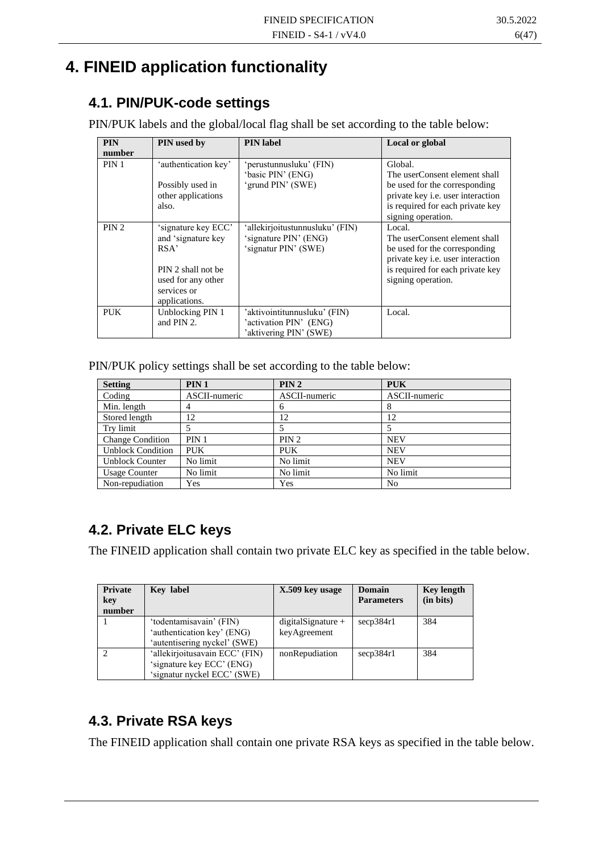# **4. FINEID application functionality**

## **4.1. PIN/PUK-code settings**

PIN/PUK labels and the global/local flag shall be set according to the table below:

| <b>PIN</b>       | PIN used by                                                                                                                   | <b>PIN</b> label                                                                 | Local or global                                                                                                                                                          |
|------------------|-------------------------------------------------------------------------------------------------------------------------------|----------------------------------------------------------------------------------|--------------------------------------------------------------------------------------------------------------------------------------------------------------------------|
| number           |                                                                                                                               |                                                                                  |                                                                                                                                                                          |
| PIN <sub>1</sub> | 'authentication key'<br>Possibly used in<br>other applications<br>also.                                                       | 'perustunnusluku' (FIN)<br>'basic PIN' (ENG)<br>'grund PIN' (SWE)                | Global.<br>The userConsent element shall<br>be used for the corresponding<br>private key i.e. user interaction<br>is required for each private key<br>signing operation. |
| PIN <sub>2</sub> | 'signature key ECC'<br>and 'signature key<br>RSA'<br>PIN 2 shall not be<br>used for any other<br>services or<br>applications. | 'allekirjoitustunnusluku' (FIN)<br>'signature PIN' (ENG)<br>'signatur PIN' (SWE) | Local.<br>The userConsent element shall<br>be used for the corresponding<br>private key i.e. user interaction<br>is required for each private key<br>signing operation.  |
| <b>PUK</b>       | Unblocking PIN 1<br>and PIN 2.                                                                                                | 'aktivointitunnusluku' (FIN)<br>'activation PIN' (ENG)<br>'aktivering PIN' (SWE) | Local.                                                                                                                                                                   |

PIN/PUK policy settings shall be set according to the table below:

| <b>Setting</b>           | PIN <sub>1</sub> | PIN 2         | <b>PUK</b>    |
|--------------------------|------------------|---------------|---------------|
| Coding                   | ASCII-numeric    | ASCII-numeric | ASCII-numeric |
| Min. length              | 4                | 6             | 8             |
| Stored length            | 12               | 12            | 12            |
| Try limit                |                  |               |               |
| <b>Change Condition</b>  | PIN <sub>1</sub> | PIN 2         | <b>NEV</b>    |
| <b>Unblock Condition</b> | <b>PUK</b>       | <b>PUK</b>    | <b>NEV</b>    |
| <b>Unblock Counter</b>   | No limit         | No limit      | <b>NEV</b>    |
| <b>Usage Counter</b>     | No limit         | No limit      | No limit      |
| Non-repudiation          | Yes              | Yes           | No            |

## **4.2. Private ELC keys**

The FINEID application shall contain two private ELC key as specified in the table below.

| Private<br>key<br>number | <b>Key label</b>                                                                           | X.509 key usage                      | Domain<br><b>Parameters</b> | <b>Key length</b><br>(in bits) |
|--------------------------|--------------------------------------------------------------------------------------------|--------------------------------------|-----------------------------|--------------------------------|
|                          | 'todentamisavain' (FIN)<br>'authentication key' (ENG)<br>'autentisering nyckel' (SWE)      | $digitalSignature +$<br>keyAgreement | secp384r1                   | 384                            |
|                          | 'allekirjoitusavain ECC' (FIN)<br>'signature key ECC' (ENG)<br>'signatur nyckel ECC' (SWE) | nonRepudiation                       | secp384r1                   | 384                            |

## **4.3. Private RSA keys**

The FINEID application shall contain one private RSA keys as specified in the table below.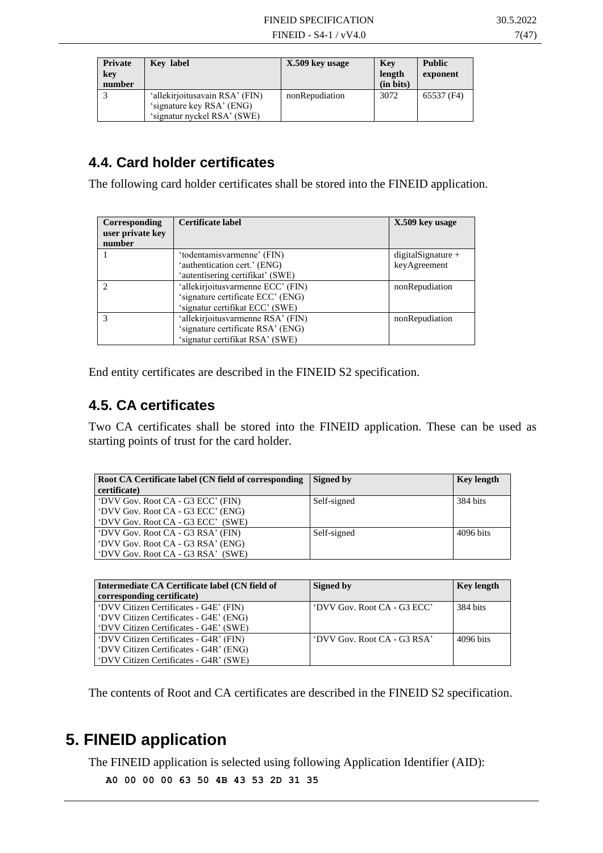| <b>Private</b><br>key<br>number | Key label                                                                                  | X.509 key usage | Key<br>length<br>(in bits) | <b>Public</b><br>exponent |
|---------------------------------|--------------------------------------------------------------------------------------------|-----------------|----------------------------|---------------------------|
|                                 | 'allekirjoitusavain RSA' (FIN)<br>'signature key RSA' (ENG)<br>'signatur nyckel RSA' (SWE) | nonRepudiation  | 3072                       | 65537 (F4)                |

## <span id="page-11-0"></span>**4.4. Card holder certificates**

The following card holder certificates shall be stored into the FINEID application.

| Corresponding<br>user private key<br>number | Certificate label                 | X.509 key usage    |
|---------------------------------------------|-----------------------------------|--------------------|
|                                             | 'todentamisvarmenne' (FIN)        | digitalSignature + |
|                                             | 'authentication cert.' (ENG)      | keyAgreement       |
|                                             | 'autentisering certifikat' (SWE)  |                    |
|                                             | 'allekirjoitusvarmenne ECC' (FIN) | nonRepudiation     |
|                                             | 'signature certificate ECC' (ENG) |                    |
|                                             | 'signatur certifikat ECC' (SWE)   |                    |
|                                             | 'allekirjoitusvarmenne RSA' (FIN) | nonRepudiation     |
|                                             | 'signature certificate RSA' (ENG) |                    |
|                                             | 'signatur certifikat RSA' (SWE)   |                    |

End entity certificates are described in the FINEID S2 specification.

## **4.5. CA certificates**

Two CA certificates shall be stored into the FINEID application. These can be used as starting points of trust for the card holder.

| Root CA Certificate label (CN field of corresponding<br>certificate)                                        | Signed by   | <b>Key length</b> |
|-------------------------------------------------------------------------------------------------------------|-------------|-------------------|
| 'DVV Gov. Root CA - G3 ECC' (FIN)<br>'DVV Gov. Root CA - G3 ECC' (ENG)<br>'DVV Gov. Root CA - G3 ECC' (SWE) | Self-signed | 384 bits          |
| 'DVV Gov. Root CA - G3 RSA' (FIN)<br>'DVV Gov. Root CA - G3 RSA' (ENG)<br>"DVV Gov. Root CA - G3 RSA" (SWE) | Self-signed | 4096 bits         |

| Intermediate CA Certificate label (CN field of<br>corresponding certificate)                                               | Signed by                   | <b>Key length</b> |
|----------------------------------------------------------------------------------------------------------------------------|-----------------------------|-------------------|
| 'DVV Citizen Certificates - G4E' (FIN)<br>'DVV Citizen Certificates - G4E' (ENG)<br>'DVV Citizen Certificates - G4E' (SWE) | 'DVV Gov. Root CA - G3 ECC' | 384 bits          |
| 'DVV Citizen Certificates - G4R' (FIN)<br>'DVV Citizen Certificates - G4R' (ENG)<br>"DVV Citizen Certificates - G4R' (SWE) | 'DVV Gov. Root CA - G3 RSA' | 4096 bits         |

The contents of Root and CA certificates are described in the FINEID S2 specification.

# **5. FINEID application**

The FINEID application is selected using following Application Identifier (AID):

```
A0 00 00 00 63 50 4B 43 53 2D 31 35
```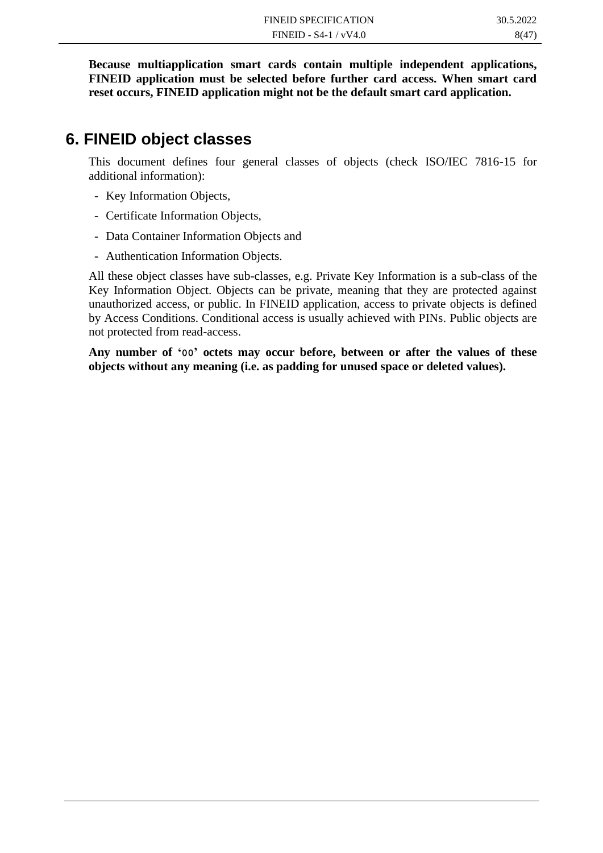**Because multiapplication smart cards contain multiple independent applications, FINEID application must be selected before further card access. When smart card reset occurs, FINEID application might not be the default smart card application.**

## **6. FINEID object classes**

This document defines four general classes of objects (check ISO/IEC 7816-15 for additional information):

- Key Information Objects,
- Certificate Information Objects,
- Data Container Information Objects and
- Authentication Information Objects.

All these object classes have sub-classes, e.g. Private Key Information is a sub-class of the Key Information Object. Objects can be private, meaning that they are protected against unauthorized access, or public. In FINEID application, access to private objects is defined by Access Conditions. Conditional access is usually achieved with PINs. Public objects are not protected from read-access.

**Any number of '00' octets may occur before, between or after the values of these objects without any meaning (i.e. as padding for unused space or deleted values).**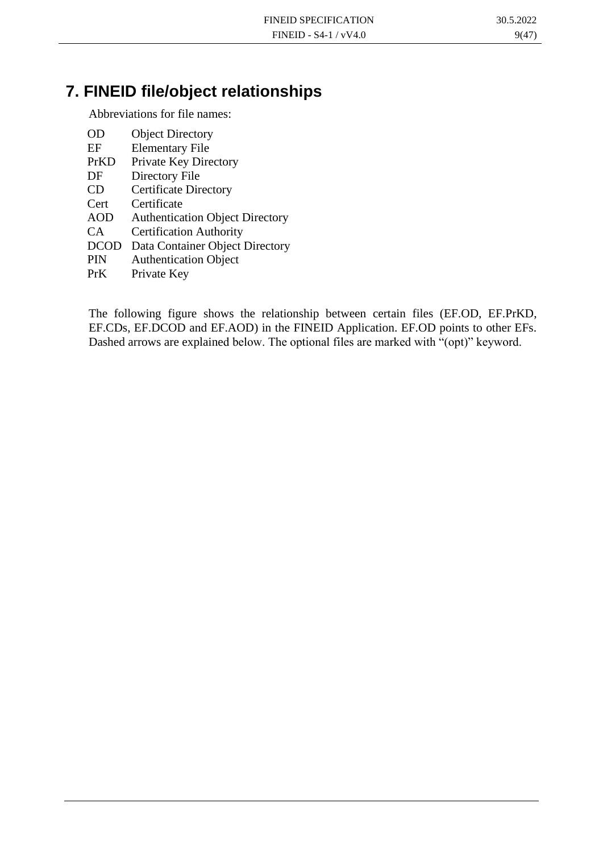# **7. FINEID file/object relationships**

Abbreviations for file names:

| OD          | <b>Object Directory</b>                |
|-------------|----------------------------------------|
| EF          | <b>Elementary File</b>                 |
| PrKD        | Private Key Directory                  |
| DF          | Directory File                         |
| CD          | <b>Certificate Directory</b>           |
| Cert        | Certificate                            |
| <b>AOD</b>  | <b>Authentication Object Directory</b> |
| CA.         | <b>Certification Authority</b>         |
| <b>DCOD</b> | Data Container Object Directory        |
| PIN         | <b>Authentication Object</b>           |
| PrK         | Private Key                            |

The following figure shows the relationship between certain files (EF.OD, EF.PrKD, EF.CDs, EF.DCOD and EF.AOD) in the FINEID Application. EF.OD points to other EFs. Dashed arrows are explained below. The optional files are marked with "(opt)" keyword.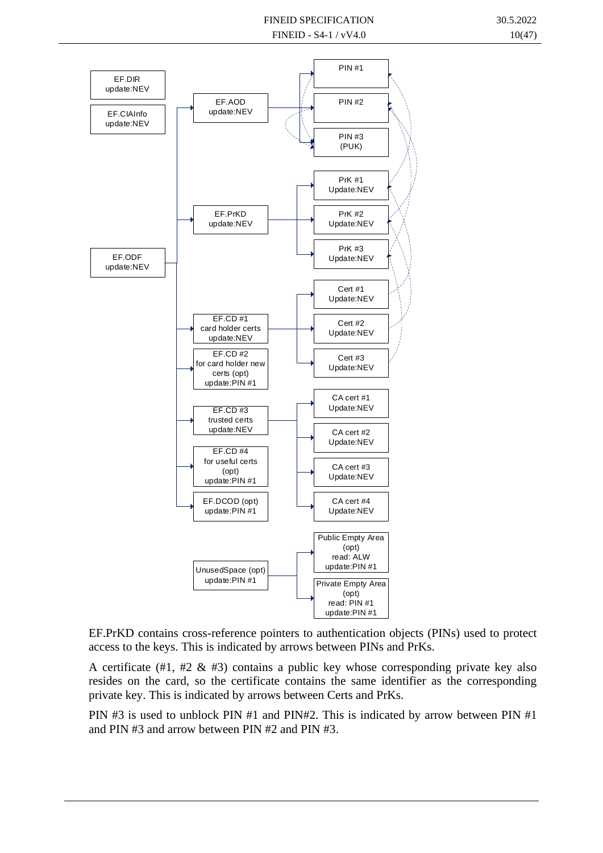

EF.PrKD contains cross-reference pointers to authentication objects (PINs) used to protect access to the keys. This is indicated by arrows between PINs and PrKs.

A certificate (#1, #2  $\&$  #3) contains a public key whose corresponding private key also resides on the card, so the certificate contains the same identifier as the corresponding private key. This is indicated by arrows between Certs and PrKs.

PIN #3 is used to unblock PIN #1 and PIN#2. This is indicated by arrow between PIN #1 and PIN #3 and arrow between PIN #2 and PIN #3.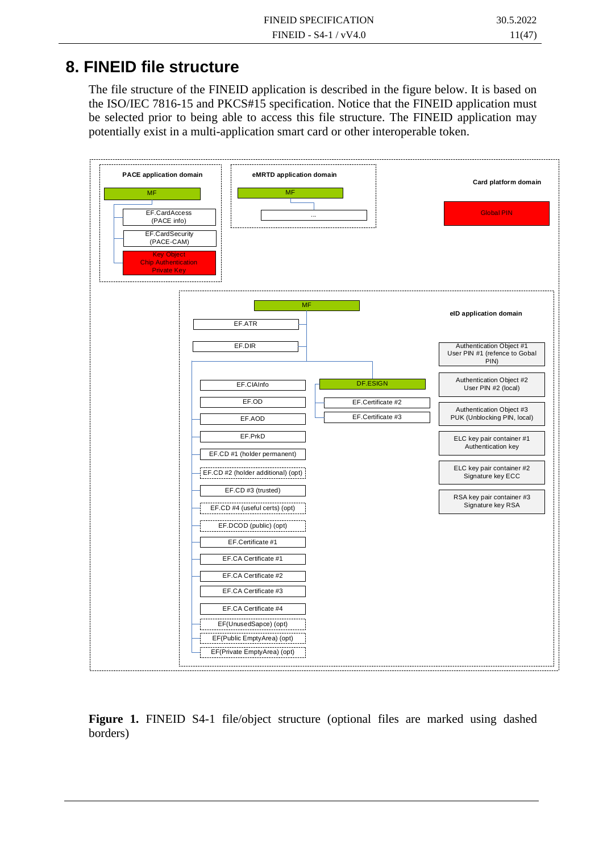# **8. FINEID file structure**

The file structure of the FINEID application is described in the figure below. It is based on the ISO/IEC 7816-15 and PKCS#15 specification. Notice that the FINEID application must be selected prior to being able to access this file structure. The FINEID application may potentially exist in a multi-application smart card or other interoperable token.



**Figure 1.** FINEID S4-1 file/object structure (optional files are marked using dashed borders)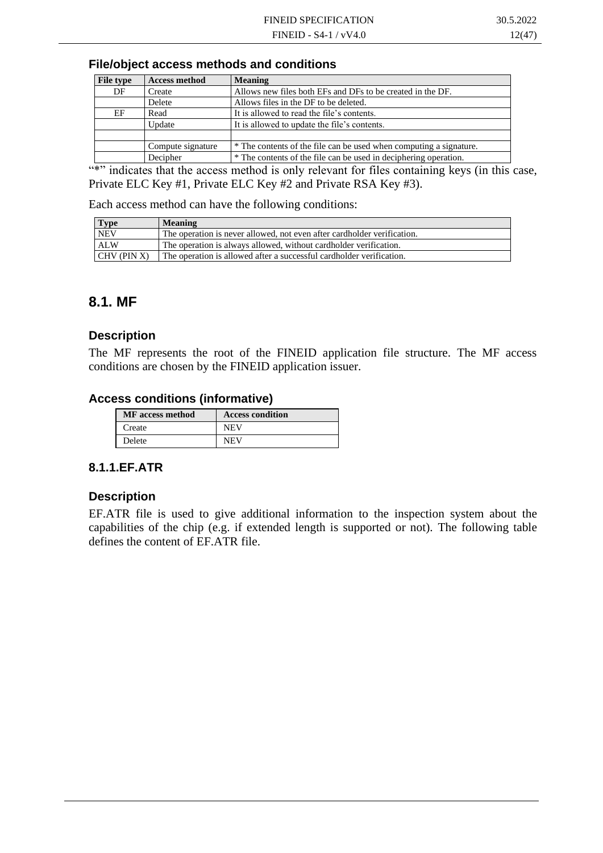#### **File/object access methods and conditions**

| <b>File type</b> | <b>Access method</b> | <b>Meaning</b>                                                     |
|------------------|----------------------|--------------------------------------------------------------------|
| DF               | Create               | Allows new files both EFs and DFs to be created in the DF.         |
|                  | Delete               | Allows files in the DF to be deleted.                              |
| EF               | Read                 | It is allowed to read the file's contents.                         |
|                  | Update               | It is allowed to update the file's contents.                       |
|                  |                      |                                                                    |
|                  | Compute signature    | * The contents of the file can be used when computing a signature. |
|                  | Decipher             | * The contents of the file can be used in deciphering operation.   |

"\*" indicates that the access method is only relevant for files containing keys (in this case, Private ELC Key #1, Private ELC Key #2 and Private RSA Key #3).

Each access method can have the following conditions:

| <b>Type</b>    | <b>Meaning</b>                                                          |
|----------------|-------------------------------------------------------------------------|
| <b>NEV</b>     | The operation is never allowed, not even after cardholder verification. |
| <b>ALW</b>     | The operation is always allowed, without cardholder verification.       |
| $ICHV$ (PIN X) | The operation is allowed after a successful cardholder verification.    |

### **8.1. MF**

#### **Description**

The MF represents the root of the FINEID application file structure. The MF access conditions are chosen by the FINEID application issuer.

#### **Access conditions (informative)**

| <b>MF</b> access method | <b>Access condition</b> |
|-------------------------|-------------------------|
| Create                  | NFV                     |
| Delete                  | NFV                     |

#### **8.1.1.EF.ATR**

#### **Description**

EF.ATR file is used to give additional information to the inspection system about the capabilities of the chip (e.g. if extended length is supported or not). The following table defines the content of EF.ATR file.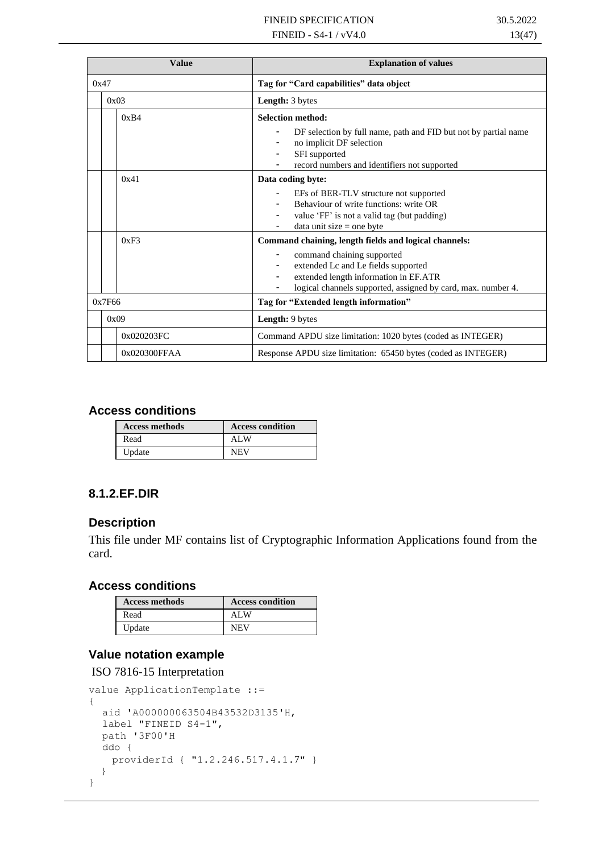| <b>Value</b> | <b>Explanation of values</b>                                                                |  |
|--------------|---------------------------------------------------------------------------------------------|--|
| 0x47         | Tag for "Card capabilities" data object                                                     |  |
| 0x03         | Length: 3 bytes                                                                             |  |
| 0xB4         | <b>Selection method:</b>                                                                    |  |
|              | DF selection by full name, path and FID but not by partial name<br>no implicit DF selection |  |
|              | SFI supported                                                                               |  |
|              | record numbers and identifiers not supported                                                |  |
| 0x41         | Data coding byte:                                                                           |  |
|              | EFs of BER-TLV structure not supported                                                      |  |
|              | Behaviour of write functions: write OR                                                      |  |
|              | value 'FF' is not a valid tag (but padding)<br>$data$ unit size = one byte                  |  |
| 0xF3         | Command chaining, length fields and logical channels:                                       |  |
|              | command chaining supported<br>-                                                             |  |
|              | extended Lc and Le fields supported                                                         |  |
|              | extended length information in EF.ATR                                                       |  |
|              | logical channels supported, assigned by card, max. number 4.                                |  |
| 0x7F66       | Tag for "Extended length information"                                                       |  |
| 0x09         | Length: 9 bytes                                                                             |  |
| 0x020203FC   | Command APDU size limitation: 1020 bytes (coded as INTEGER)                                 |  |
| 0x020300FFAA | Response APDU size limitation: 65450 bytes (coded as INTEGER)                               |  |

#### **Access conditions**

| <b>Access methods</b> | <b>Access condition</b> |
|-----------------------|-------------------------|
| Read                  | ALW                     |
| Update                | NEV                     |

#### **8.1.2.EF.DIR**

#### **Description**

This file under MF contains list of Cryptographic Information Applications found from the card.

#### **Access conditions**

| <b>Access methods</b> | <b>Access condition</b> |
|-----------------------|-------------------------|
| Read                  | ALW                     |
| Update                | <b>NEV</b>              |

#### **Value notation example**

ISO 7816-15 Interpretation

```
value ApplicationTemplate ::=
{
  aid 'A000000063504B43532D3135'H,
  label "FINEID S4-1",
  path '3F00'H
  ddo {
   providerId { "1.2.246.517.4.1.7" } 
   }
}
```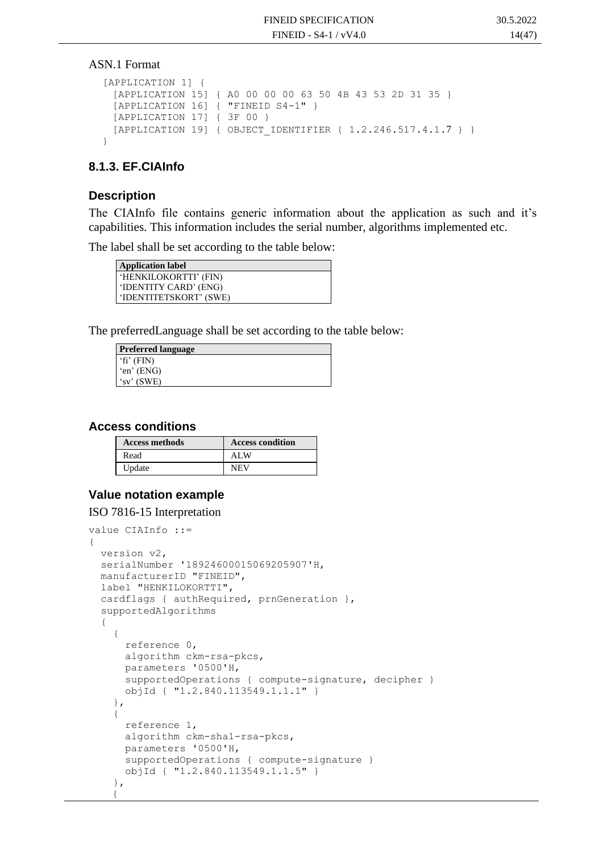#### ASN.1 Format

```
[APPLICATION 1] {
 [APPLICATION 15] { A0 00 00 00 63 50 4B 43 53 2D 31 35 }
 [APPLICATION 16] { "FINEID S4-1" }
 [APPLICATION 17] { 3F 00 }
 [APPLICATION 19] { OBJECT IDENTIFIER { 1.2.246.517.4.1.7 } }
}
```
#### **8.1.3. EF.CIAInfo**

#### **Description**

The CIAInfo file contains generic information about the application as such and it's capabilities. This information includes the serial number, algorithms implemented etc.

The label shall be set according to the table below:

| <b>Application label</b>    |
|-----------------------------|
| 'HENKILOKORTTI' (FIN)       |
| <b>TENTITY CARD' (ENG)</b>  |
| <b>TENTITETSKORT' (SWE)</b> |

The preferredLanguage shall be set according to the table below:

| <b>Preferred language</b> |
|---------------------------|
| $\text{`fi'}$ (FIN)       |
| $\text{\'en'}$ (ENG)      |
| $\gamma$ (SWE)            |

#### **Access conditions**

| <b>Access methods</b> | <b>Access condition</b> |
|-----------------------|-------------------------|
| Read                  | AL W                    |
| Update                | NEV                     |

#### **Value notation example**

#### ISO 7816-15 Interpretation

```
value CIAInfo ::=
{
   version v2,
   serialNumber '18924600015069205907'H,
   manufacturerID "FINEID",
   label "HENKILOKORTTI",
   cardflags { authRequired, prnGeneration },
   supportedAlgorithms 
   {
\left\{\begin{array}{ccc} \end{array}\right\} reference 0,
       algorithm ckm-rsa-pkcs,
       parameters '0500'H,
       supportedOperations { compute-signature, decipher }
       objId { "1.2.840.113549.1.1.1" }
     },
     {
       reference 1,
       algorithm ckm-sha1-rsa-pkcs,
       parameters '0500'H,
       supportedOperations { compute-signature }
       objId { "1.2.840.113549.1.1.5" }
     },
    {
```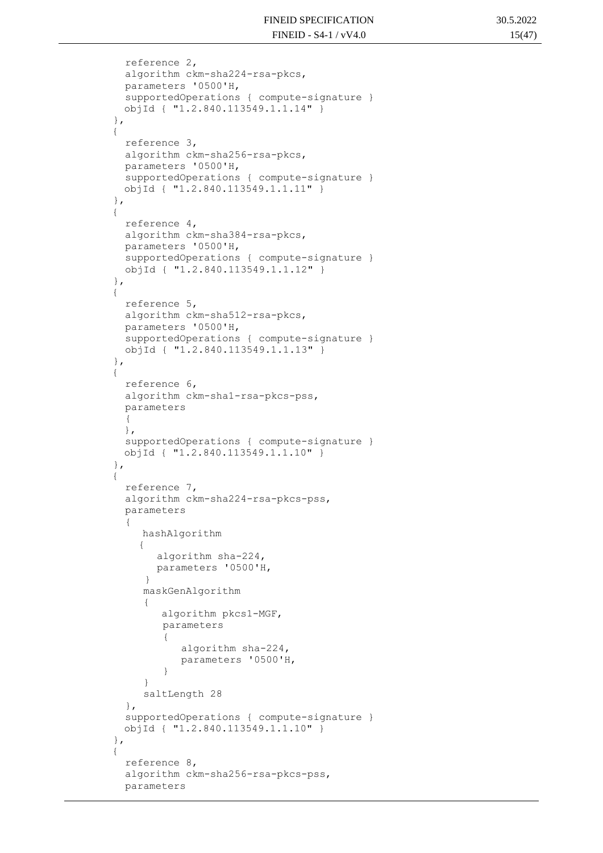```
 reference 2,
          algorithm ckm-sha224-rsa-pkcs,
          parameters '0500'H,
          supportedOperations { compute-signature }
          objId { "1.2.840.113549.1.1.14" }
        },
       {
          reference 3,
          algorithm ckm-sha256-rsa-pkcs,
          parameters '0500'H,
          supportedOperations { compute-signature }
          objId { "1.2.840.113549.1.1.11" }
        },
       {
          reference 4,
          algorithm ckm-sha384-rsa-pkcs,
          parameters '0500'H,
          supportedOperations { compute-signature }
          objId { "1.2.840.113549.1.1.12" }
        },
       {
          reference 5,
          algorithm ckm-sha512-rsa-pkcs,
          parameters '0500'H,
          supportedOperations { compute-signature }
          objId { "1.2.840.113549.1.1.13" }
        },
       {
          reference 6,
          algorithm ckm-sha1-rsa-pkcs-pss,
          parameters
    {
          },
          supportedOperations { compute-signature }
          objId { "1.2.840.113549.1.1.10" }
        },
       {
          reference 7,
          algorithm ckm-sha224-rsa-pkcs-pss,
          parameters
    {
             hashAlgorithm
 {
                algorithm sha-224, 
               parameters '0500'H, 
 }
             maskGenAlgorithm
   \{ algorithm pkcs1-MGF,
                parameters
{
                    algorithm sha-224, 
                    parameters '0500'H, 
 }
    }
             saltLength 28 
          },
          supportedOperations { compute-signature }
          objId { "1.2.840.113549.1.1.10" }
        },
       {
          reference 8,
          algorithm ckm-sha256-rsa-pkcs-pss,
          parameters
```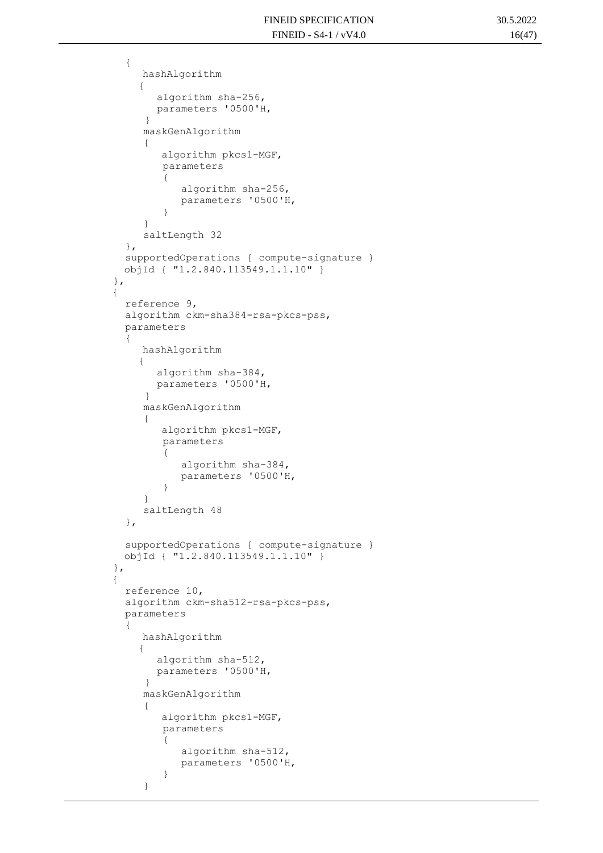```
 {
                hashAlgorithm
\left\{ \begin{array}{cc} 0 & 0 & 0 \\ 0 & 0 & 0 \\ 0 & 0 & 0 \\ 0 & 0 & 0 \\ 0 & 0 & 0 \\ 0 & 0 & 0 \\ 0 & 0 & 0 \\ 0 & 0 & 0 \\ 0 & 0 & 0 \\ 0 & 0 & 0 \\ 0 & 0 & 0 \\ 0 & 0 & 0 & 0 \\ 0 & 0 & 0 & 0 \\ 0 & 0 & 0 & 0 \\ 0 & 0 & 0 & 0 & 0 \\ 0 & 0 & 0 & 0 & 0 \\ 0 & 0 & 0 & 0 & 0 \\ 0 & 0 & 0 & 0 & 0 \\ 0 & 0 & 0 & 0 & 0 algorithm sha-256, 
                   parameters '0500'H, 
 }
                maskGenAlgorithm
                { 
                    algorithm pkcs1-MGF,
                    parameters
{
                        algorithm sha-256, 
                        parameters '0500'H, 
 }
     }
                saltLength 32 
            },
            supportedOperations { compute-signature }
            objId { "1.2.840.113549.1.1.10" }
          },
         {
            reference 9,
            algorithm ckm-sha384-rsa-pkcs-pss,
            parameters
            {
                hashAlgorithm
 {
                   algorithm sha-384, 
                   parameters '0500'H, 
 }
                maskGenAlgorithm
     { 
                    algorithm pkcs1-MGF,
                    parameters
{
                        algorithm sha-384, 
                       parameters '0500'H, 
 }
     }
                saltLength 48 
            },
            supportedOperations { compute-signature }
            objId { "1.2.840.113549.1.1.10" }
          },
         {
            reference 10,
            algorithm ckm-sha512-rsa-pkcs-pss,
            parameters
            {
                hashAlgorithm
\{ algorithm sha-512, 
                   parameters '0500'H, 
 }
                maskGenAlgorithm
    \{ algorithm pkcs1-MGF,
                    parameters
{
                        algorithm sha-512, 
                       parameters '0500'H, 
 }
                }
```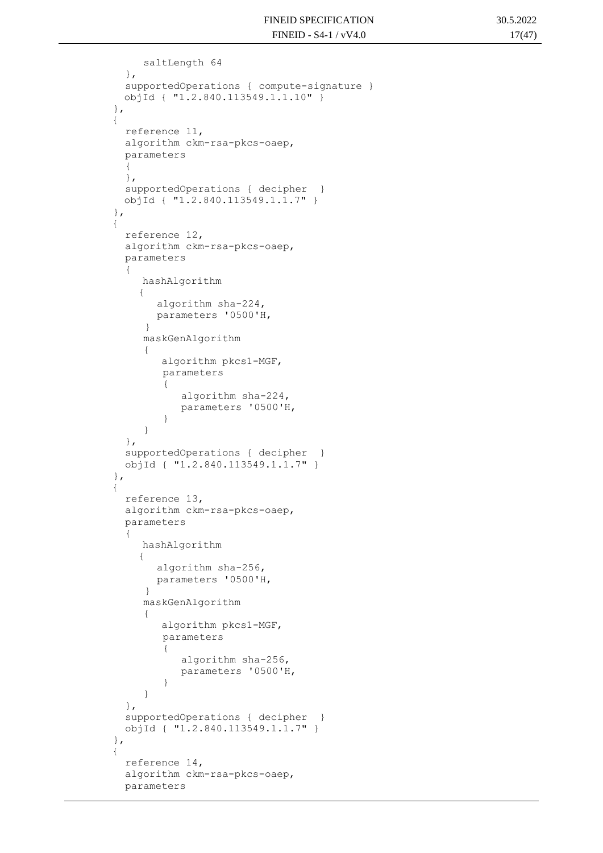saltLength 64 }, supportedOperations { compute-signature } objId { "1.2.840.113549.1.1.10" } }, { reference 11, algorithm ckm-rsa-pkcs-oaep, parameters { }, supportedOperations { decipher } objId { "1.2.840.113549.1.1.7" } }, { reference 12, algorithm ckm-rsa-pkcs-oaep, parameters { hashAlgorithm { algorithm sha-224, parameters '0500'H, } maskGenAlgorithm { algorithm pkcs1-MGF, parameters { algorithm sha-224, parameters '0500'H, } } }, supportedOperations { decipher } objId { "1.2.840.113549.1.1.7" } }, { reference 13, algorithm ckm-rsa-pkcs-oaep, parameters { hashAlgorithm { algorithm sha-256, parameters '0500'H, } maskGenAlgorithm { algorithm pkcs1-MGF, parameters { algorithm sha-256, parameters '0500'H, } } }, supportedOperations { decipher } objId { "1.2.840.113549.1.1.7" } }, { reference 14, algorithm ckm-rsa-pkcs-oaep,

parameters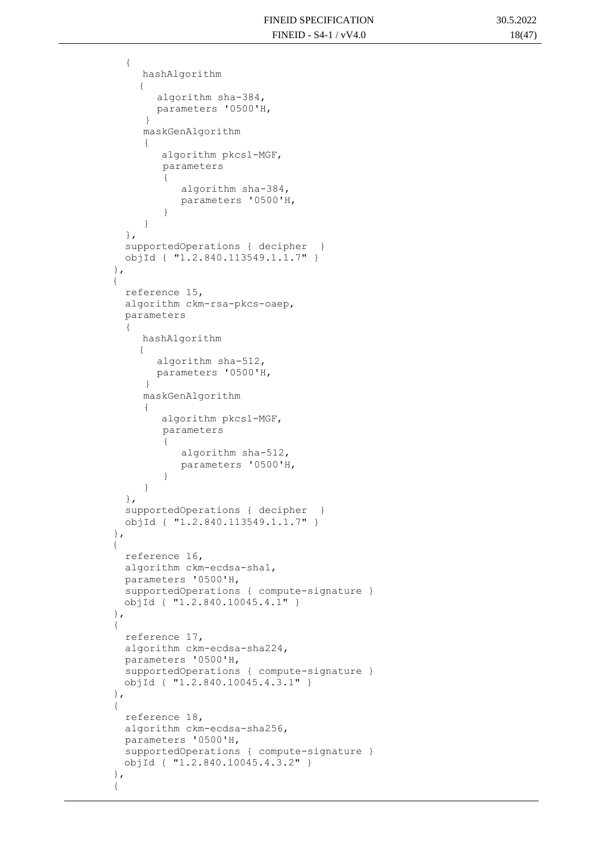```
 {
                hashAlgorithm
\left\{ \begin{array}{cc} 0 & 0 & 0 \\ 0 & 0 & 0 \\ 0 & 0 & 0 \\ 0 & 0 & 0 \\ 0 & 0 & 0 \\ 0 & 0 & 0 \\ 0 & 0 & 0 \\ 0 & 0 & 0 \\ 0 & 0 & 0 \\ 0 & 0 & 0 \\ 0 & 0 & 0 \\ 0 & 0 & 0 & 0 \\ 0 & 0 & 0 & 0 \\ 0 & 0 & 0 & 0 \\ 0 & 0 & 0 & 0 & 0 \\ 0 & 0 & 0 & 0 & 0 \\ 0 & 0 & 0 & 0 & 0 \\ 0 & 0 & 0 & 0 & 0 \\ 0 & 0 & 0 & 0 & 0 algorithm sha-384, 
                   parameters '0500'H, 
 }
                 maskGenAlgorithm
                 { 
                     algorithm pkcs1-MGF,
                     parameters
{
                         algorithm sha-384, 
                         parameters '0500'H, 
 }
     }
             },
             supportedOperations { decipher }
             objId { "1.2.840.113549.1.1.7" }
          },
         {
             reference 15,
             algorithm ckm-rsa-pkcs-oaep,
             parameters
             {
                hashAlgorithm
 {
                    algorithm sha-512, 
                   parameters '0500'H, 
 }
                maskGenAlgorithm
     { 
                     algorithm pkcs1-MGF,
                     parameters
{
                         algorithm sha-512, 
                         parameters '0500'H, 
 }
                 }
             },
             supportedOperations { decipher }
             objId { "1.2.840.113549.1.1.7" }
          },
         {
             reference 16,
             algorithm ckm-ecdsa-sha1,
             parameters '0500'H,
             supportedOperations { compute-signature }
             objId { "1.2.840.10045.4.1" }
          },
          {
             reference 17,
             algorithm ckm-ecdsa-sha224,
             parameters '0500'H,
             supportedOperations { compute-signature }
             objId { "1.2.840.10045.4.3.1" }
          },
          {
             reference 18,
             algorithm ckm-ecdsa-sha256,
             parameters '0500'H,
             supportedOperations { compute-signature }
             objId { "1.2.840.10045.4.3.2" }
          },
          {
```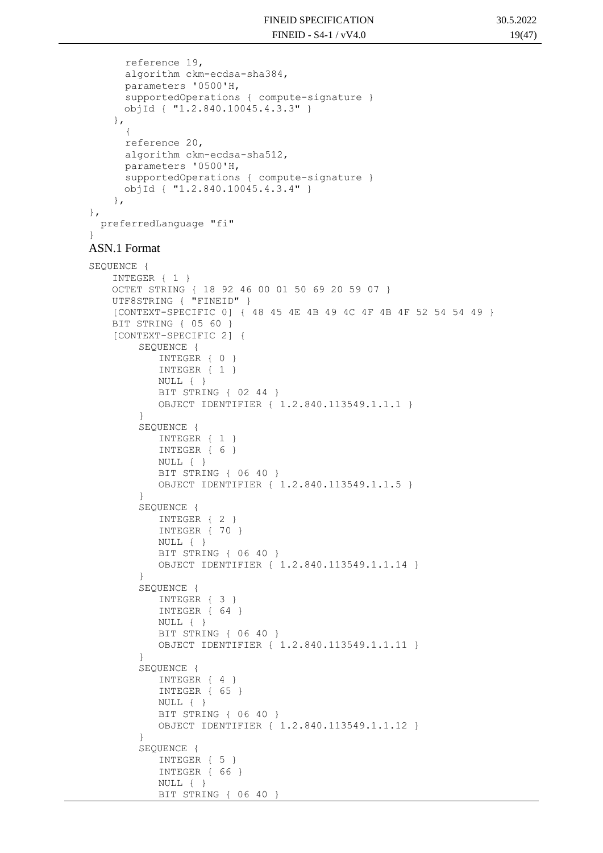```
 reference 19,
       algorithm ckm-ecdsa-sha384,
       parameters '0500'H,
       supportedOperations { compute-signature }
       objId { "1.2.840.10045.4.3.3" }
     },
 {
       reference 20,
       algorithm ckm-ecdsa-sha512,
      parameters '0500'H,
       supportedOperations { compute-signature }
       objId { "1.2.840.10045.4.3.4" }
     },
},
  preferredLanguage "fi"
}
ASN.1 Format
SEQUENCE {
    INTEGER { 1 }
    OCTET STRING { 18 92 46 00 01 50 69 20 59 07 }
   UTF8STRING { "FINEID" }
    [CONTEXT-SPECIFIC 0] { 48 45 4E 4B 49 4C 4F 4B 4F 52 54 54 49 }
   BIT STRING { 05 60 }
    [CONTEXT-SPECIFIC 2] {
        SEQUENCE {
            INTEGER { 0 }
            INTEGER { 1 }
           NULL { }
            BIT STRING { 02 44 }
           OBJECT IDENTIFIER { 1.2.840.113549.1.1.1 }
        }
        SEQUENCE {
            INTEGER { 1 }
           INTEGER { 6 }
           NULL { }
           BIT STRING { 06 40 }
           OBJECT IDENTIFIER { 1.2.840.113549.1.1.5 }
        }
        SEQUENCE {
            INTEGER { 2 }
           INTEGER { 70 }
           NULL { }
           BIT STRING { 06 40 }
           OBJECT IDENTIFIER { 1.2.840.113549.1.1.14 }
        }
        SEQUENCE {
            INTEGER { 3 }
           INTEGER { 64 }
           NULL { }
           BIT STRING { 06 40 }
           OBJECT IDENTIFIER { 1.2.840.113549.1.1.11 }
        }
        SEQUENCE {
           INTEGER { 4 }
           INTEGER { 65 }
           NULL { }
           BIT STRING { 06 40 }
           OBJECT IDENTIFIER { 1.2.840.113549.1.1.12 }
        }
        SEQUENCE {
           INTEGER { 5 }
            INTEGER { 66 }
           NULL { }
           BIT STRING { 06 40 }
```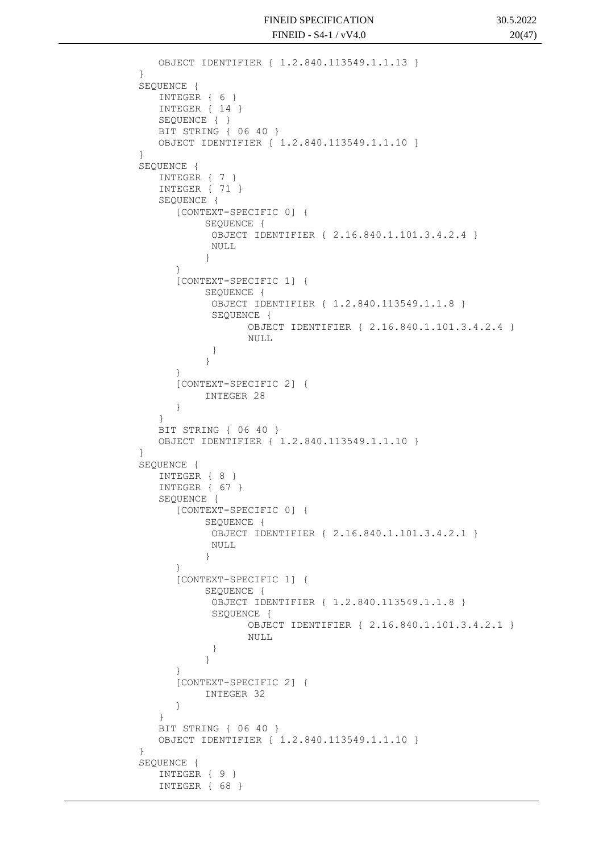```
OBJECT IDENTIFIER { 1.2.840.113549.1.1.13 }
}
SEOUENCE {
   INTEGER { 6 }
   INTEGER { 14 }
   SEQUENCE { }
   BIT STRING { 06 40 }
   OBJECT IDENTIFIER { 1.2.840.113549.1.1.10 }
}
SEQUENCE {
   INTEGER { 7 }
   INTEGER { 71 }
   SEQUENCE {
      [CONTEXT-SPECIFIC 0] {
           SEQUENCE {
           OBJECT IDENTIFIER { 2.16.840.1.101.3.4.2.4 }
            NULL
           }
      }
      [CONTEXT-SPECIFIC 1] {
           SEQUENCE {
            OBJECT IDENTIFIER { 1.2.840.113549.1.1.8 }
            SEQUENCE {
                  OBJECT IDENTIFIER { 2.16.840.1.101.3.4.2.4 }
                  NULL
            }
           }
      }
      [CONTEXT-SPECIFIC 2] {
           INTEGER 28
      }
   }
   BIT STRING { 06 40 }
   OBJECT IDENTIFIER { 1.2.840.113549.1.1.10 }
}
SEQUENCE {
   INTEGER { 8 }
   INTEGER { 67 }
   SEQUENCE {
      [CONTEXT-SPECIFIC 0] {
           SEQUENCE {
            OBJECT IDENTIFIER { 2.16.840.1.101.3.4.2.1 }
            NULL.
           }
      }
      [CONTEXT-SPECIFIC 1] {
           SEQUENCE {
            OBJECT IDENTIFIER { 1.2.840.113549.1.1.8 }
            SEQUENCE {
                  OBJECT IDENTIFIER { 2.16.840.1.101.3.4.2.1 }
                  NULL
            }
           }
      }
      [CONTEXT-SPECIFIC 2] {
           INTEGER 32
      }
   }
   BIT STRING { 06 40 }
   OBJECT IDENTIFIER { 1.2.840.113549.1.1.10 }
}
SEQUENCE {
   INTEGER { 9 }
   INTEGER { 68 }
```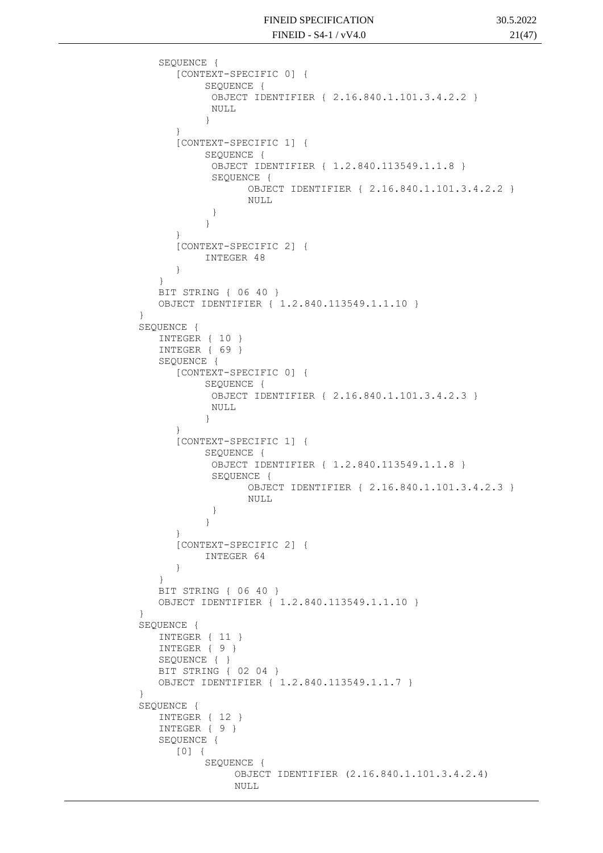```
SEQUENCE {
      [CONTEXT-SPECIFIC 0] {
           SEQUENCE {
            OBJECT IDENTIFIER { 2.16.840.1.101.3.4.2.2 }
            NULL
           }
      }
      [CONTEXT-SPECIFIC 1] {
           SEQUENCE {
            OBJECT IDENTIFIER { 1.2.840.113549.1.1.8 }
            SEQUENCE {
                  OBJECT IDENTIFIER { 2.16.840.1.101.3.4.2.2 }
                  NULL
            }
           }
      }
      [CONTEXT-SPECIFIC 2] {
           INTEGER 48
      }
   }
   BIT STRING { 06 40 }
   OBJECT IDENTIFIER { 1.2.840.113549.1.1.10 }
}
SEQUENCE {
   INTEGER { 10 }
   INTEGER { 69 }
   SEQUENCE {
      [CONTEXT-SPECIFIC 0] {
           SEOUENCE {
            OBJECT IDENTIFIER { 2.16.840.1.101.3.4.2.3 }
            NULL
           }
      }
      [CONTEXT-SPECIFIC 1] {
           SEQUENCE {
            OBJECT IDENTIFIER { 1.2.840.113549.1.1.8 }
            SEQUENCE {
                  OBJECT IDENTIFIER { 2.16.840.1.101.3.4.2.3 }
                  NULL
            }
           }
      }
      [CONTEXT-SPECIFIC 2] {
           INTEGER 64
      }
   }
   BIT STRING { 06 40 }
   OBJECT IDENTIFIER { 1.2.840.113549.1.1.10 }
}
SEQUENCE {
   INTEGER { 11 }
   INTEGER { 9 }
   SEQUENCE { }
   BIT STRING { 02 04 }
   OBJECT IDENTIFIER { 1.2.840.113549.1.1.7 }
}
SEQUENCE {
   INTEGER { 12 }
   INTEGER { 9 }
   SEQUENCE {
      [0] {
           SEQUENCE {
                OBJECT IDENTIFIER (2.16.840.1.101.3.4.2.4)
                NULL
```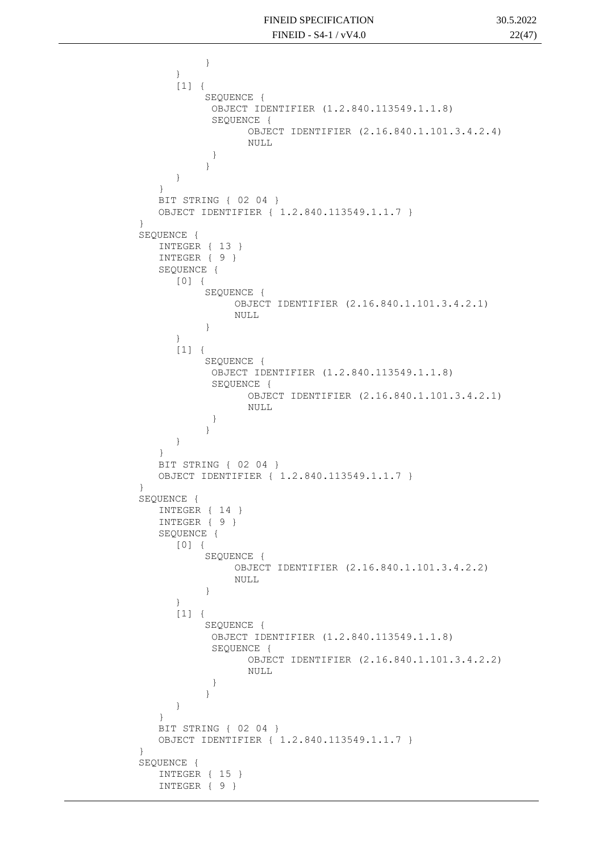```
}
      }
      [1] \quad \{SEQUENCE {
            OBJECT IDENTIFIER (1.2.840.113549.1.1.8)
            SEQUENCE {
                  OBJECT IDENTIFIER (2.16.840.1.101.3.4.2.4)
                  NULL
            }
           }
      }
   }
   BIT STRING { 02 04 }
   OBJECT IDENTIFIER { 1.2.840.113549.1.1.7 }
}
SEQUENCE {
   INTEGER { 13 }
   INTEGER { 9 }
   SEQUENCE {
      [0] {
           SEQUENCE {
                OBJECT IDENTIFIER (2.16.840.1.101.3.4.2.1)
                NULL
           }
      }
      [1] {
           SEQUENCE {
            OBJECT IDENTIFIER (1.2.840.113549.1.1.8)
            SEQUENCE {
                  OBJECT IDENTIFIER (2.16.840.1.101.3.4.2.1)
                  NULL
            }
           }
      }
   }
   BIT STRING { 02 04 }
   OBJECT IDENTIFIER { 1.2.840.113549.1.1.7 }
}
SEQUENCE {
   INTEGER { 14 }
   INTEGER { 9 }
   SEQUENCE {
      [0] {
           SEQUENCE {
                OBJECT IDENTIFIER (2.16.840.1.101.3.4.2.2)
                NULL
           }
      }
      [1] {
           SEQUENCE {
            OBJECT IDENTIFIER (1.2.840.113549.1.1.8)
            SEQUENCE {
                  OBJECT IDENTIFIER (2.16.840.1.101.3.4.2.2)
                  NULL
            }
           }
      }
   }
   BIT STRING { 02 04 }
   OBJECT IDENTIFIER { 1.2.840.113549.1.1.7 }
}
SEQUENCE {
   INTEGER { 15 }
   INTEGER { 9 }
```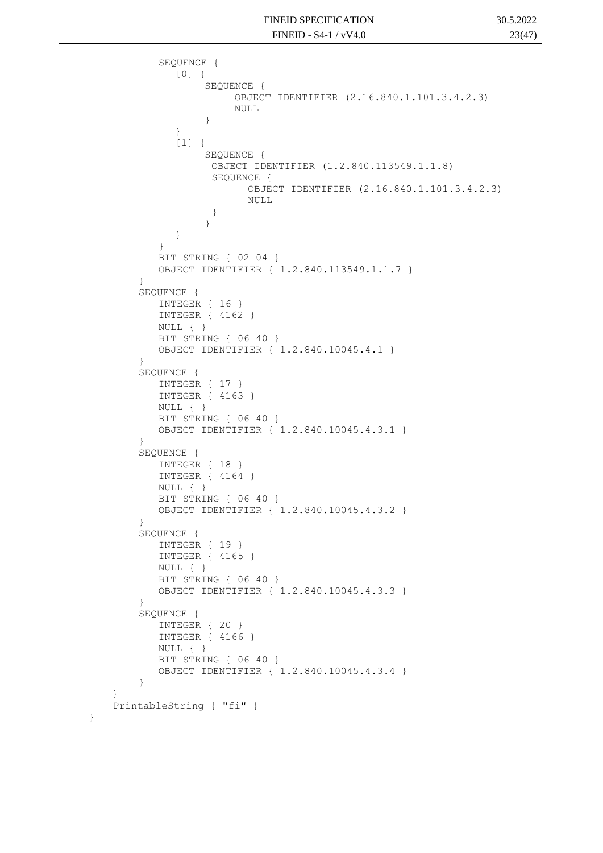```
SEQUENCE {
          [0] {
               SEQUENCE {
                    OBJECT IDENTIFIER (2.16.840.1.101.3.4.2.3)
                    NULL
               }
          }
          [1]SEQUENCE {
                OBJECT IDENTIFIER (1.2.840.113549.1.1.8)
                SEQUENCE {
                       OBJECT IDENTIFIER (2.16.840.1.101.3.4.2.3)
                       NULL
                 }
               }
          }
       }
       BIT STRING { 02 04 }
       OBJECT IDENTIFIER { 1.2.840.113549.1.1.7 }
    }
    SEQUENCE {
       INTEGER { 16 }
       INTEGER { 4162 }
       NULL { }
       BIT STRING { 06 40 }
       OBJECT IDENTIFIER { 1.2.840.10045.4.1 }
    }
    SEQUENCE {
       INTEGER { 17 }
       INTEGER { 4163 }
       NULL { }
       BIT STRING { 06 40 }
       OBJECT IDENTIFIER { 1.2.840.10045.4.3.1 }
    }
    SEQUENCE {
       INTEGER { 18 }
       INTEGER { 4164 }
       NULL { }
       BIT STRING { 06 40 }
       OBJECT IDENTIFIER { 1.2.840.10045.4.3.2 }
    }
    SEQUENCE {
       INTEGER { 19 }
       INTEGER { 4165 }
       NULL { }
       BIT STRING { 06 40 }
       OBJECT IDENTIFIER { 1.2.840.10045.4.3.3 }
    }
    SEQUENCE {
       INTEGER { 20 }
       INTEGER { 4166 }
       NULL { }
       BIT STRING { 06 40 }
       OBJECT IDENTIFIER { 1.2.840.10045.4.3.4 }
    }
 PrintableString { "fi" }
```
}

}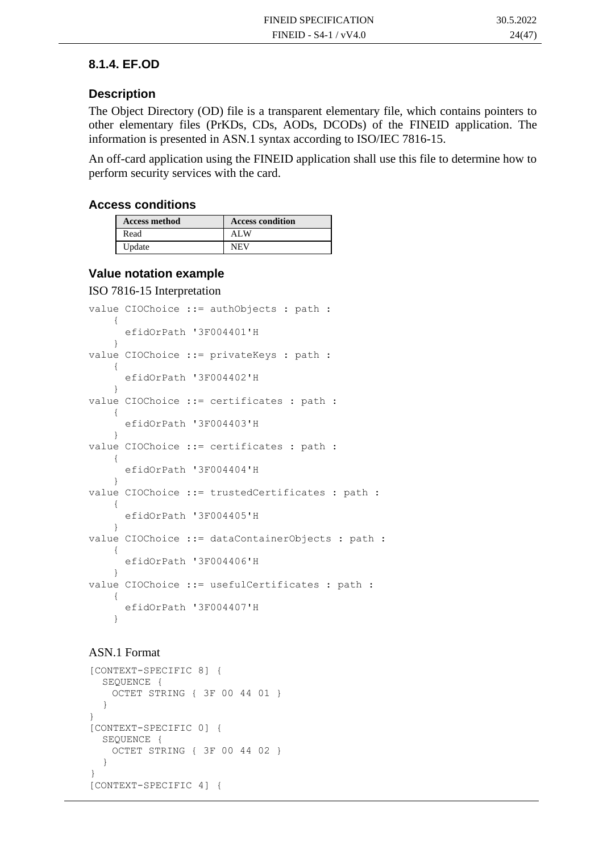#### **8.1.4. EF.OD**

#### **Description**

The Object Directory (OD) file is a transparent elementary file, which contains pointers to other elementary files (PrKDs, CDs, AODs, DCODs) of the FINEID application. The information is presented in ASN.1 syntax according to ISO/IEC 7816-15.

An off-card application using the FINEID application shall use this file to determine how to perform security services with the card.

#### **Access conditions**

| <b>Access method</b> | <b>Access condition</b> |
|----------------------|-------------------------|
| Read                 | AL W                    |
| Update               | NEV                     |

#### **Value notation example**

#### ISO 7816-15 Interpretation

```
value CIOChoice ::= authObjects : path :
     {
       efidOrPath '3F004401'H
     }
value CIOChoice ::= privateKeys : path : 
     {
       efidOrPath '3F004402'H
     }
value CIOChoice ::= certificates : path :
     {
       efidOrPath '3F004403'H
     }
value CIOChoice ::= certificates : path :
     {
       efidOrPath '3F004404'H
     }
value CIOChoice ::= trustedCertificates : path : 
     {
       efidOrPath '3F004405'H
     }
value CIOChoice ::= dataContainerObjects : path : 
     {
       efidOrPath '3F004406'H
     }
value CIOChoice : = usefulCertificates : path :
     {
       efidOrPath '3F004407'H
     }
```
#### ASN.1 Format

```
[CONTEXT-SPECIFIC 8] {
     SEQUENCE {
       OCTET STRING { 3F 00 44 01 }
      }
   }
   [CONTEXT-SPECIFIC 0] {
     SEQUENCE {
       OCTET STRING { 3F 00 44 02 }
      }
 }
   [CONTEXT-SPECIFIC 4] {
```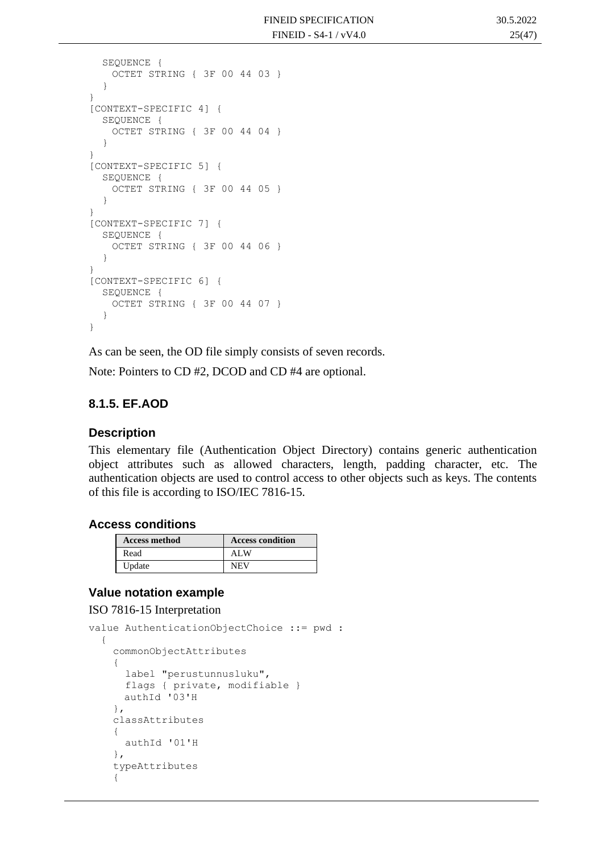```
SEQUENCE {
   OCTET STRING { 3F 00 44 03 }
  }
}
[CONTEXT-SPECIFIC 4] {
  SEQUENCE {
   OCTET STRING { 3F 00 44 04 }
  }
}
[CONTEXT-SPECIFIC 5] {
  SEQUENCE {
   OCTET STRING { 3F 00 44 05 }
  }
}
[CONTEXT-SPECIFIC 7] {
  SEQUENCE {
   OCTET STRING { 3F 00 44 06 }
  }
}
[CONTEXT-SPECIFIC 6] {
  SEQUENCE {
   OCTET STRING { 3F 00 44 07 }
  }
}
```
As can be seen, the OD file simply consists of seven records.

Note: Pointers to CD #2, DCOD and CD #4 are optional.

#### **8.1.5. EF.AOD**

#### **Description**

This elementary file (Authentication Object Directory) contains generic authentication object attributes such as allowed characters, length, padding character, etc. The authentication objects are used to control access to other objects such as keys. The contents of this file is according to ISO/IEC 7816-15.

#### **Access conditions**

| <b>Access method</b> | <b>Access condition</b> |
|----------------------|-------------------------|
| Read                 | ALW                     |
| Update               | <b>NEV</b>              |

#### **Value notation example**

ISO 7816-15 Interpretation

```
value AuthenticationObjectChoice ::= pwd : 
   {
     commonObjectAttributes 
     {
       label "perustunnusluku",
      flags { private, modifiable }
       authId '03'H
     },
     classAttributes 
     {
       authId '01'H
     },
     typeAttributes 
     {
```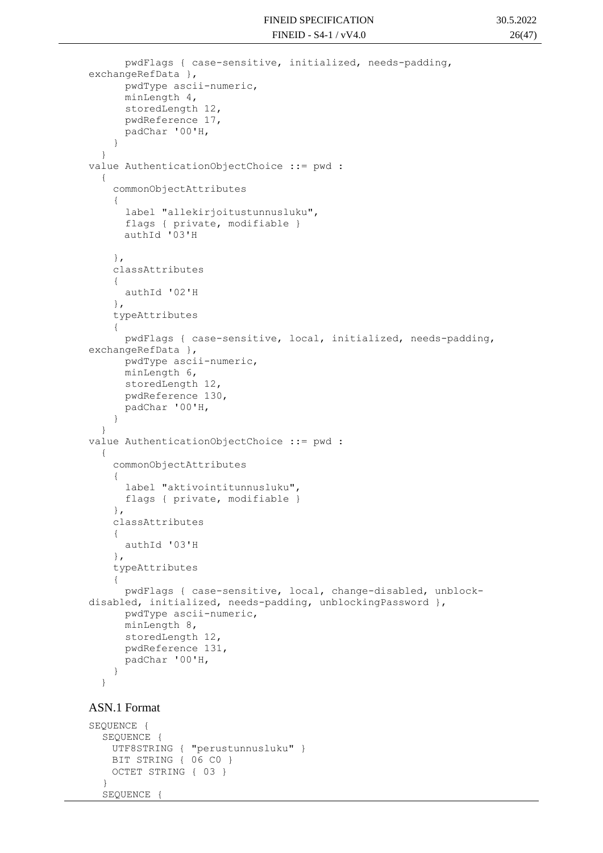```
 pwdFlags { case-sensitive, initialized, needs-padding, 
exchangeRefData },
       pwdType ascii-numeric,
       minLength 4,
       storedLength 12,
       pwdReference 17,
       padChar '00'H,
     }
   }
value AuthenticationObjectChoice ::= pwd : 
   {
     commonObjectAttributes 
     {
       label "allekirjoitustunnusluku",
       flags { private, modifiable }
       authId '03'H
     },
     classAttributes 
     {
       authId '02'H
     },
     typeAttributes 
     {
       pwdFlags { case-sensitive, local, initialized, needs-padding, 
exchangeRefData },
       pwdType ascii-numeric,
       minLength 6,
       storedLength 12,
       pwdReference 130,
       padChar '00'H,
     }
   }
value AuthenticationObjectChoice ::= pwd : 
   {
     commonObjectAttributes 
\left\{\begin{array}{ccc} & & \\ & & \end{array}\right\} label "aktivointitunnusluku",
       flags { private, modifiable }
     },
     classAttributes 
     {
       authId '03'H
     },
     typeAttributes 
     {
       pwdFlags { case-sensitive, local, change-disabled, unblock-
disabled, initialized, needs-padding, unblockingPassword },
       pwdType ascii-numeric,
       minLength 8,
       storedLength 12,
       pwdReference 131,
       padChar '00'H,
     }
   }
```

```
ASN.1 Format
```

```
SEQUENCE {
  SEQUENCE {
   UTF8STRING { "perustunnusluku" }
   BIT STRING { 06 C0 }
   OCTET STRING { 03 }
  }
  SEQUENCE
```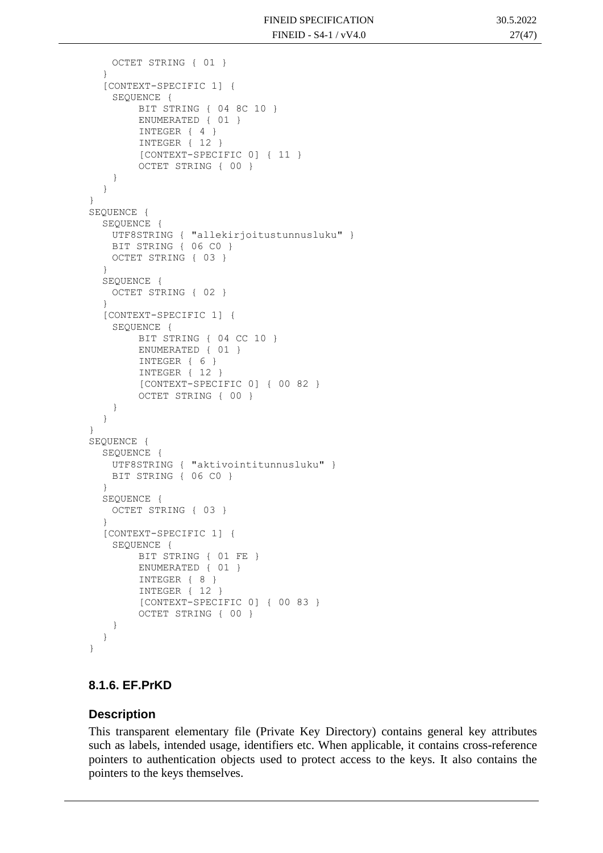```
OCTET STRING { 01 }
  }
  [CONTEXT-SPECIFIC 1] {
    SEOUENCE {
        BIT STRING { 04 8C 10 }
        ENUMERATED { 01 }
        INTEGER { 4 }
        INTEGER { 12 }
        [CONTEXT-SPECIFIC 0] { 11 }
        OCTET STRING { 00 }
    }
  }
}
SEQUENCE {
  SEQUENCE {
   UTF8STRING { "allekirjoitustunnusluku" }
   BIT STRING { 06 C0 }
   OCTET STRING { 03 }
  }
  SEQUENCE {
   OCTET STRING { 02 }
  }
  [CONTEXT-SPECIFIC 1] {
    SEQUENCE {
        BIT STRING { 04 CC 10 }
        ENUMERATED { 01 }
        INTEGER { 6 }
        INTEGER { 12 }
        [CONTEXT-SPECIFIC 0] { 00 82 }
        OCTET STRING { 00 }
    }
  }
}
SEQUENCE {
  SEQUENCE {
   UTF8STRING { "aktivointitunnusluku" }
   BIT STRING { 06 C0 }
  }
  SEQUENCE {
   OCTET STRING { 03 }
  }
  [CONTEXT-SPECIFIC 1] {
    SEQUENCE {
        BIT STRING { 01 FE }
        ENUMERATED { 01 }
        INTEGER { 8 }
        INTEGER { 12 }
        [CONTEXT-SPECIFIC 0] { 00 83 }
        OCTET STRING { 00 }
    }
  }
}
```
#### **8.1.6. EF.PrKD**

#### **Description**

This transparent elementary file (Private Key Directory) contains general key attributes such as labels, intended usage, identifiers etc. When applicable, it contains cross-reference pointers to authentication objects used to protect access to the keys. It also contains the pointers to the keys themselves.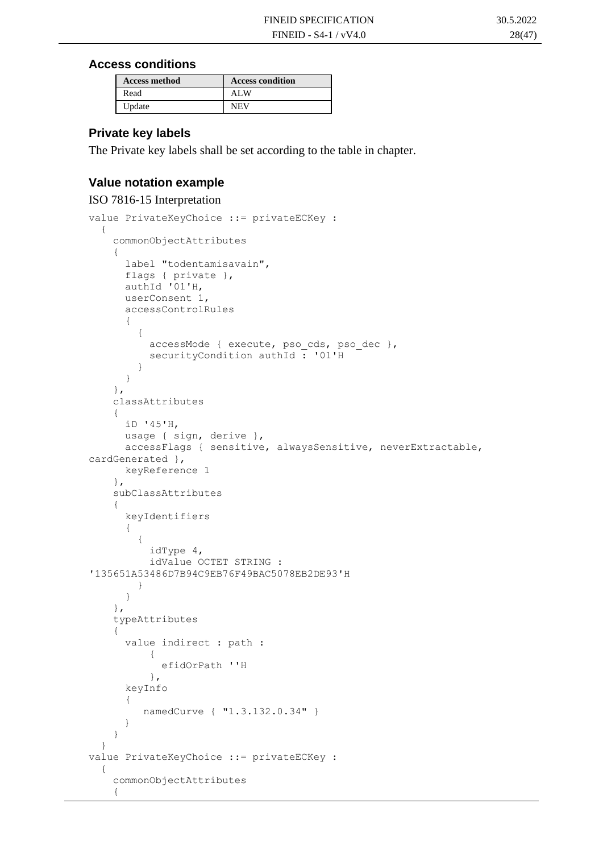#### **Access conditions**

| <b>Access method</b> | <b>Access condition</b> |
|----------------------|-------------------------|
| Read                 | ALW                     |
| Update               | NEV                     |

#### **Private key labels**

The Private key labels shall be set according to the table in chapter.

#### **Value notation example**

```
ISO 7816-15 Interpretation
value PrivateKeyChoice ::= privateECKey :
   {
     commonObjectAttributes 
     {
       label "todentamisavain",
      flags { private },
       authId '01'H,
       userConsent 1,
       accessControlRules 
       {
\{ accessMode { execute, pso_cds, pso_dec },
           securityCondition authId : '01'H
         }
       }
     },
     classAttributes 
     {
       iD '45'H,
      usage { sign, derive },
      accessFlags { sensitive, alwaysSensitive, neverExtractable, 
cardGenerated },
       keyReference 1
     },
     subClassAttributes 
     {
       keyIdentifiers 
       {
\{ idType 4,
           idValue OCTET STRING : 
'135651A53486D7B94C9EB76F49BAC5078EB2DE93'H
 }
 }
     },
     typeAttributes 
     {
       value indirect : path : 
\{ efidOrPath ''H
           },
       keyInfo
       {
          namedCurve { "1.3.132.0.34" }
       }
     }
   }
value PrivateKeyChoice ::= privateECKey :
   {
     commonObjectAttributes 
     {
```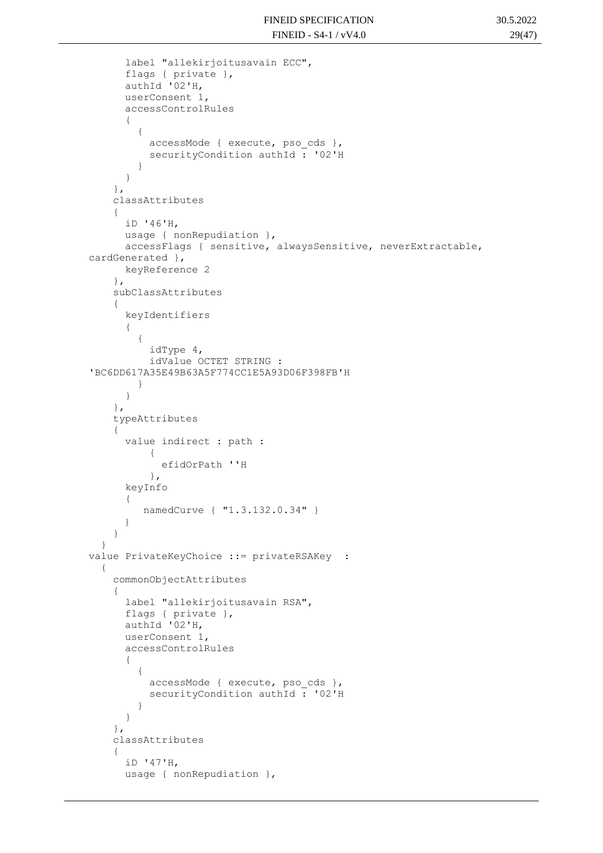```
 label "allekirjoitusavain ECC",
       flags { private },
       authId '02'H,
       userConsent 1,
       accessControlRules 
 {
\{accessMode { execute, pso cds },
          securityCondition authId : '02'H
 }
       }
     },
     classAttributes 
     {
       iD '46'H,
       usage { nonRepudiation },
       accessFlags { sensitive, alwaysSensitive, neverExtractable, 
cardGenerated },
       keyReference 2
     },
     subClassAttributes 
     {
       keyIdentifiers 
       {
\{ idType 4,
           idValue OCTET STRING : 
'BC6DD617A35E49B63A5F774CC1E5A93D06F398FB'H
 }
       }
     },
     typeAttributes 
     {
       value indirect : path : 
\{ efidOrPath ''H
           },
       keyInfo
       {
          namedCurve { "1.3.132.0.34" }
       }
     }
   }
value PrivateKeyChoice ::= privateRSAKey : 
   {
     commonObjectAttributes 
     {
       label "allekirjoitusavain RSA",
       flags { private },
       authId '02'H,
       userConsent 1,
       accessControlRules 
       {
\{ accessMode { execute, pso_cds },
          securityCondition authId: '02'H
         }
       }
     },
     classAttributes 
     {
       iD '47'H,
      usage { nonRepudiation },
```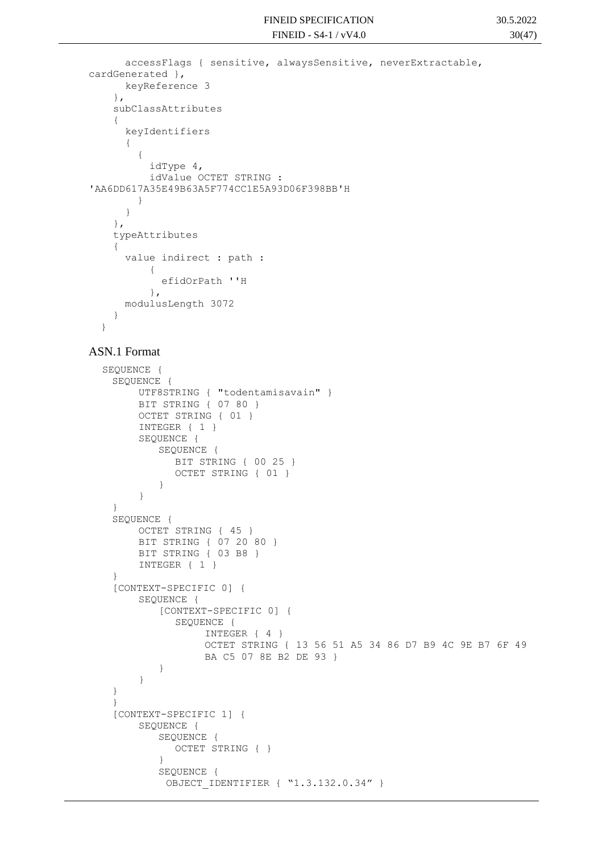```
 accessFlags { sensitive, alwaysSensitive, neverExtractable, 
cardGenerated },
       keyReference 3
     },
     subClassAttributes 
     {
       keyIdentifiers 
       {
\{ idType 4,
           idValue OCTET STRING : 
'AA6DD617A35E49B63A5F774CC1E5A93D06F398BB'H
         }
       }
     },
     typeAttributes 
     {
       value indirect : path : 
 {
             efidOrPath ''H
           },
       modulusLength 3072
     }
   }
```
#### ASN.1 Format

```
SEQUENCE {
 SEQUENCE {
      UTF8STRING { "todentamisavain" }
      BIT STRING { 07 80 }
      OCTET STRING { 01 }
      INTEGER { 1 }
      SEQUENCE {
         SEQUENCE {
            BIT STRING { 00 25 }
            OCTET STRING { 01 }
         }
      }
 }
 SEQUENCE {
      OCTET STRING { 45 }
      BIT STRING { 07 20 80 }
      BIT STRING { 03 B8 }
      INTEGER { 1 }
 }
  [CONTEXT-SPECIFIC 0] {
      SEQUENCE {
         [CONTEXT-SPECIFIC 0] {
            SEQUENCE {
                 INTEGER { 4 }
                 OCTET STRING { 13 56 51 A5 34 86 D7 B9 4C 9E B7 6F 49 
                 BA C5 07 8E B2 DE 93 }
         }
      }
 }
 }
 [CONTEXT-SPECIFIC 1] {
      SEQUENCE {
         SEQUENCE {
            OCTET STRING { }
         }
         SEQUENCE {
          OBJECT IDENTIFIER { "1.3.132.0.34" }
```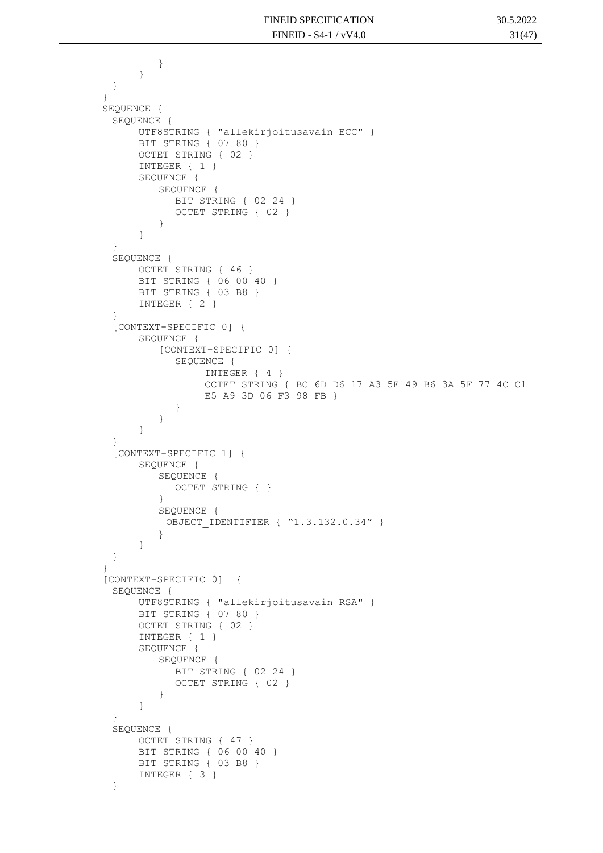```
}
     }
 }
}
SEQUENCE {
 SEQUENCE {
      UTF8STRING { "allekirjoitusavain ECC" }
      BIT STRING { 07 80 }
      OCTET STRING { 02 }
      INTEGER { 1 }
      SEQUENCE {
         SEQUENCE {
            BIT STRING { 02 24 }
            OCTET STRING { 02 }
         }
      }
 }
 SEQUENCE {
      OCTET STRING { 46 }
      BIT STRING { 06 00 40 }
      BIT STRING { 03 B8 }
      INTEGER { 2 }
 }
 [CONTEXT-SPECIFIC 0] {
      SEQUENCE {
         [CONTEXT-SPECIFIC 0] {
            SEQUENCE {
                 INTEGER { 4 }
                 OCTET STRING { BC 6D D6 17 A3 5E 49 B6 3A 5F 77 4C C1 
                 E5 A9 3D 06 F3 98 FB }
            }
         }
      }
 }
 [CONTEXT-SPECIFIC 1] {
      SEQUENCE {
         SEQUENCE {
            OCTET STRING { }
         }
         SEQUENCE {
          OBJECT IDENTIFIER { "1.3.132.0.34" }
         }
      }
 }
}
[CONTEXT-SPECIFIC 0] {
 SEQUENCE {
      UTF8STRING { "allekirjoitusavain RSA" }
      BIT STRING { 07 80 }
      OCTET STRING { 02 }
      INTEGER { 1 }
      SEQUENCE {
         SEQUENCE {
            BIT STRING { 02 24 }
            OCTET STRING { 02 }
         }
      }
 }
 SEQUENCE {
      OCTET STRING { 47 }
      BIT STRING { 06 00 40 }
     BIT STRING { 03 B8 }
     INTEGER { 3 }
 }
```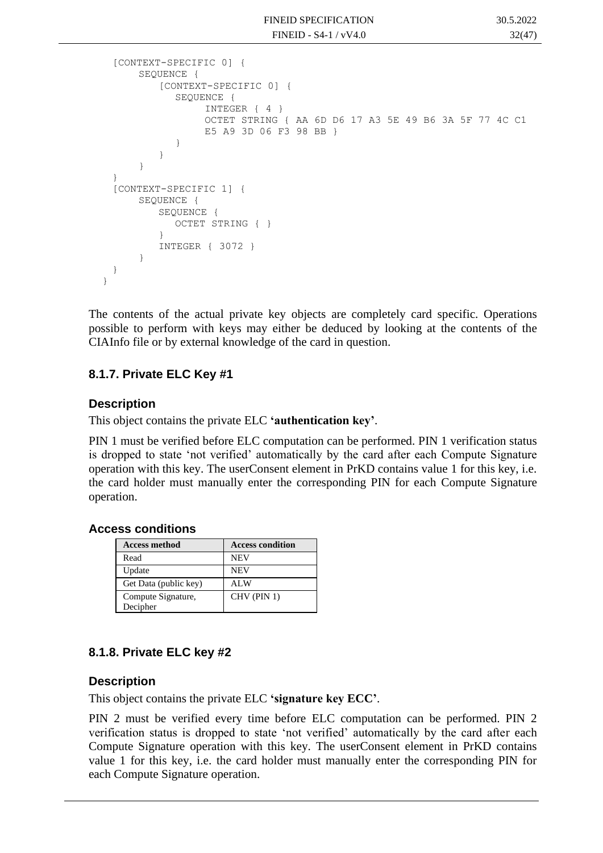```
[CONTEXT-SPECIFIC 0] {
      SEQUENCE {
         [CONTEXT-SPECIFIC 0] {
            SEOUENCE {
                 INTEGER { 4 }
                 OCTET STRING { AA 6D D6 17 A3 5E 49 B6 3A 5F 77 4C C1 
                 E5 A9 3D 06 F3 98 BB }
            }
         }
      }
 }
 [CONTEXT-SPECIFIC 1] {
      SEQUENCE {
         SEQUENCE {
            OCTET STRING { }
         }
         INTEGER { 3072 }
      }
 }
}
```
The contents of the actual private key objects are completely card specific. Operations possible to perform with keys may either be deduced by looking at the contents of the CIAInfo file or by external knowledge of the card in question.

#### **8.1.7. Private ELC Key #1**

#### **Description**

This object contains the private ELC **'authentication key'**.

PIN 1 must be verified before ELC computation can be performed. PIN 1 verification status is dropped to state 'not verified' automatically by the card after each Compute Signature operation with this key. The userConsent element in PrKD contains value 1 for this key, i.e. the card holder must manually enter the corresponding PIN for each Compute Signature operation.

#### **Access conditions**

| <b>Access method</b>  | <b>Access condition</b> |
|-----------------------|-------------------------|
| Read                  | <b>NEV</b>              |
| Update                | <b>NEV</b>              |
| Get Data (public key) | AL W                    |
| Compute Signature,    | CHV (PIN 1)             |
| Decipher              |                         |

#### **8.1.8. Private ELC key #2**

#### **Description**

This object contains the private ELC **'signature key ECC'**.

PIN 2 must be verified every time before ELC computation can be performed. PIN 2 verification status is dropped to state 'not verified' automatically by the card after each Compute Signature operation with this key. The userConsent element in PrKD contains value 1 for this key, i.e. the card holder must manually enter the corresponding PIN for each Compute Signature operation.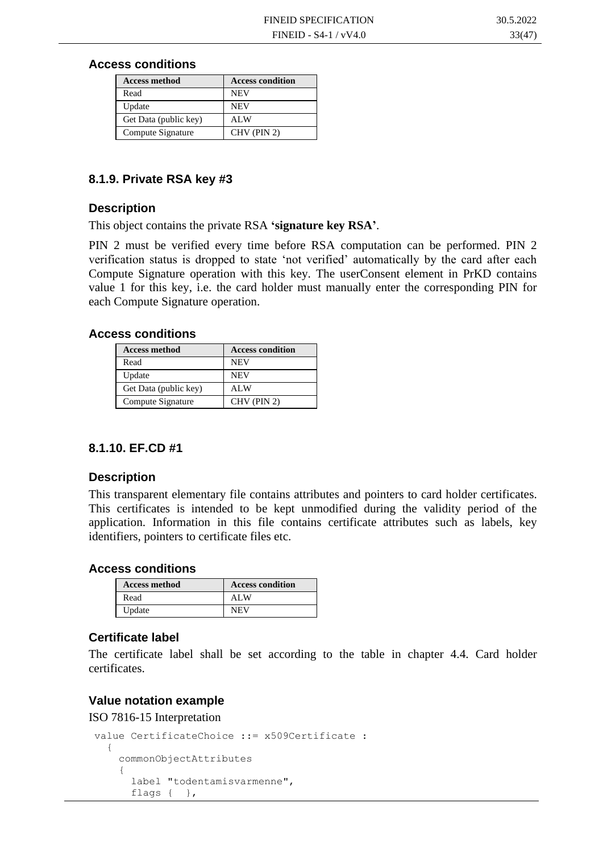#### **Access conditions**

| <b>Access method</b>  | <b>Access condition</b> |
|-----------------------|-------------------------|
| Read                  | <b>NEV</b>              |
| Update                | <b>NEV</b>              |
| Get Data (public key) | ALW                     |
| Compute Signature     | CHV (PIN 2)             |

#### **8.1.9. Private RSA key #3**

#### **Description**

This object contains the private RSA **'signature key RSA'**.

PIN 2 must be verified every time before RSA computation can be performed. PIN 2 verification status is dropped to state 'not verified' automatically by the card after each Compute Signature operation with this key. The userConsent element in PrKD contains value 1 for this key, i.e. the card holder must manually enter the corresponding PIN for each Compute Signature operation.

#### **Access conditions**

| <b>Access method</b>  | <b>Access condition</b> |
|-----------------------|-------------------------|
| Read                  | <b>NEV</b>              |
| Update                | <b>NEV</b>              |
| Get Data (public key) | ALW                     |
| Compute Signature     | CHV (PIN 2)             |

#### **8.1.10. EF.CD #1**

#### **Description**

This transparent elementary file contains attributes and pointers to card holder certificates. This certificates is intended to be kept unmodified during the validity period of the application. Information in this file contains certificate attributes such as labels, key identifiers, pointers to certificate files etc.

#### **Access conditions**

| <b>Access method</b> | <b>Access condition</b> |
|----------------------|-------------------------|
| Read                 | ALW                     |
| Update               | <b>NEV</b>              |

#### **Certificate label**

The certificate label shall be set according to the table in chapter 4.4. [Card holder](#page-11-0)  [certificates.](#page-11-0)

#### **Value notation example**

ISO 7816-15 Interpretation

```
value CertificateChoice ::= x509Certificate : 
   {
     commonObjectAttributes 
     {
       label "todentamisvarmenne",
       flags { },
```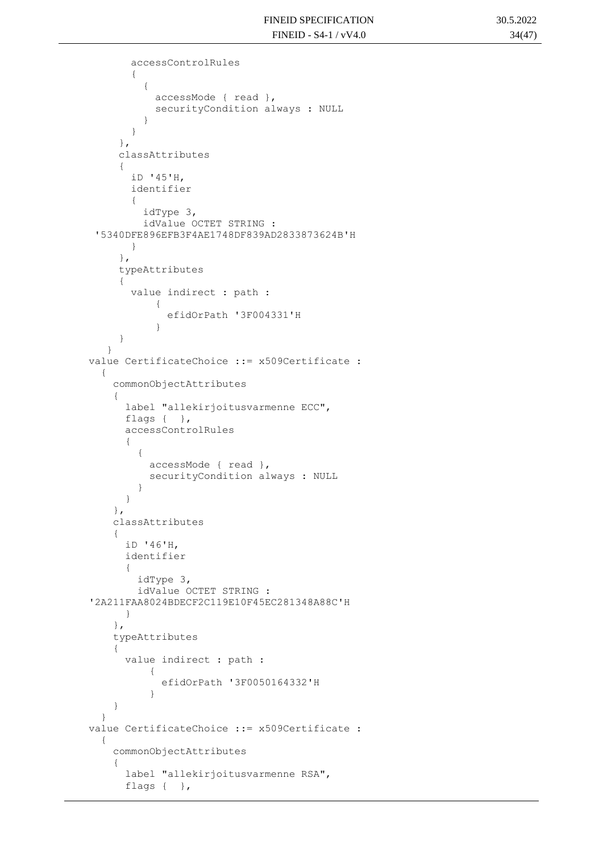```
 accessControlRules 
        {
 \{ accessMode { read },
            securityCondition always : NULL
  }
        }
      },
      classAttributes 
      {
        iD '45'H,
        identifier 
  {
          idType 3,
          idValue OCTET STRING : 
 '5340DFE896EFB3F4AE1748DF839AD2833873624B'H
        }
      },
      typeAttributes 
      {
        value indirect : path : 
            {
              efidOrPath '3F004331'H
  }
      }
    }
value CertificateChoice ::= x509Certificate : 
   {
     commonObjectAttributes 
     {
       label "allekirjoitusvarmenne ECC",
      flags { },
       accessControlRules 
 {
\{ accessMode { read },
           securityCondition always : NULL
 }
       }
     },
     classAttributes 
     {
       iD '46'H,
       identifier 
       {
         idType 3,
         idValue OCTET STRING : 
'2A211FAA8024BDECF2C119E10F45EC281348A88C'H
       }
     },
     typeAttributes 
     {
       value indirect : path : 
\{ efidOrPath '3F0050164332'H
 }
     }
   }
value CertificateChoice ::= x509Certificate :
   {
     commonObjectAttributes 
     {
       label "allekirjoitusvarmenne RSA",
      flags { },
```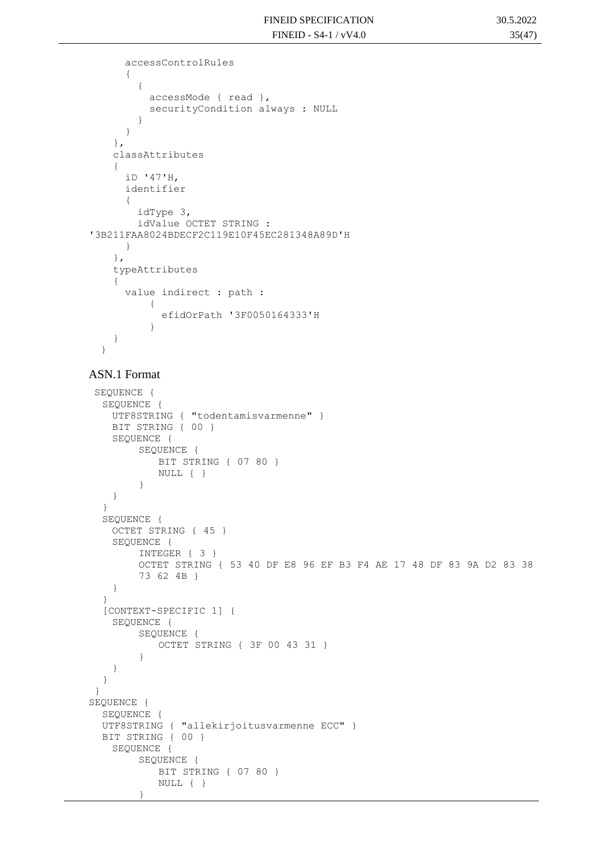```
 accessControlRules 
       {
         {
           accessMode { read },
           securityCondition always : NULL
 }
       }
     },
     classAttributes 
     {
       iD '47'H,
       identifier 
       {
         idType 3,
         idValue OCTET STRING : 
'3B211FAA8024BDECF2C119E10F45EC281348A89D'H
      }
     },
     typeAttributes 
     {
       value indirect : path : 
           {
              efidOrPath '3F0050164333'H
 }
     }
   }
```
#### ASN.1 Format

}

```
SEQUENCE {
  SEQUENCE {
   UTF8STRING { "todentamisvarmenne" }
   BIT STRING { 00 }
   SEQUENCE {
        SEQUENCE {
           BIT STRING { 07 80 }
           NULL { }
        }
    }
  }
  SEQUENCE {
   OCTET STRING { 45 }
   SEQUENCE {
        INTEGER { 3 }
        OCTET STRING { 53 40 DF E8 96 EF B3 F4 AE 17 48 DF 83 9A D2 83 38 
        73 62 4B }
    }
  }
  [CONTEXT-SPECIFIC 1] {
   SEQUENCE {
        SEQUENCE {
           OCTET STRING { 3F 00 43 31 }
        }
    }
  }
}
SEQUENCE {
  SEQUENCE {
  UTF8STRING { "allekirjoitusvarmenne ECC" }
  BIT STRING { 00 }
   SEQUENCE {
        SEQUENCE {
           BIT STRING { 07 80 }
           NULL { }
```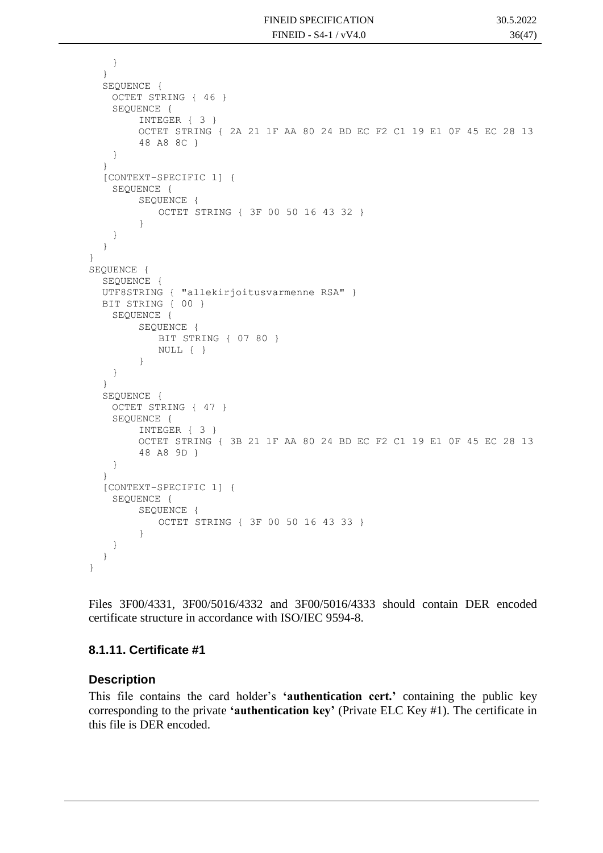```
}
  }
  SEQUENCE {
   OCTET STRING { 46 }
    SEQUENCE {
        INTEGER { 3 }
        OCTET STRING { 2A 21 1F AA 80 24 BD EC F2 C1 19 E1 0F 45 EC 28 13 
        48 A8 8C }
    }
  }
  [CONTEXT-SPECIFIC 1] {
   SEQUENCE {
        SEQUENCE {
            OCTET STRING { 3F 00 50 16 43 32 }
        }
    }
  }
}
SEQUENCE {
  SEQUENCE {
  UTF8STRING { "allekirjoitusvarmenne RSA" }
  BIT STRING { 00 }
    SEQUENCE {
        SEQUENCE {
            BIT STRING { 07 80 }
           NULL { }
        }
    }
  }
  SEOUENCE {
   OCTET STRING { 47 }
   SEQUENCE {
        INTEGER { 3 }
        OCTET STRING { 3B 21 1F AA 80 24 BD EC F2 C1 19 E1 0F 45 EC 28 13 
        48 A8 9D }
    }
  }
  [CONTEXT-SPECIFIC 1] {
   SEQUENCE {
        SEQUENCE {
           OCTET STRING { 3F 00 50 16 43 33 }
        }
    }
  }
}
```
Files 3F00/4331, 3F00/5016/4332 and 3F00/5016/4333 should contain DER encoded certificate structure in accordance with ISO/IEC 9594-8.

#### **8.1.11. Certificate #1**

#### **Description**

This file contains the card holder's **'authentication cert.'** containing the public key corresponding to the private **'authentication key'** (Private ELC Key #1). The certificate in this file is DER encoded.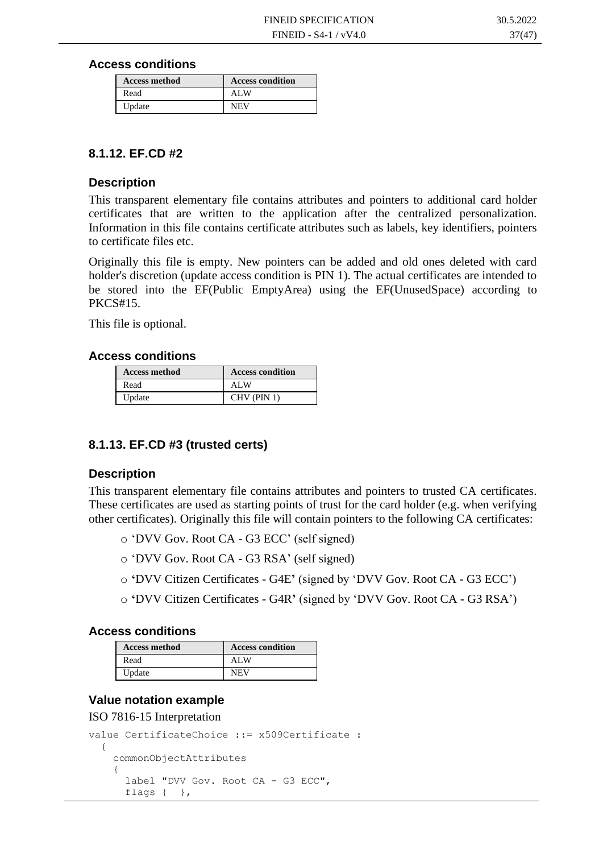**Access conditions**

| <b>Access method</b> | <b>Access condition</b> |
|----------------------|-------------------------|
| Read                 | ALW                     |
| Update               | <b>NEV</b>              |

#### **8.1.12. EF.CD #2**

#### **Description**

This transparent elementary file contains attributes and pointers to additional card holder certificates that are written to the application after the centralized personalization. Information in this file contains certificate attributes such as labels, key identifiers, pointers to certificate files etc.

Originally this file is empty. New pointers can be added and old ones deleted with card holder's discretion (update access condition is PIN 1). The actual certificates are intended to be stored into the EF(Public EmptyArea) using the EF(UnusedSpace) according to PKCS#15.

This file is optional.

#### **Access conditions**

| <b>Access method</b> | <b>Access condition</b> |
|----------------------|-------------------------|
| Read                 | ALW                     |
| Update               | CHV (PIN 1)             |

#### **8.1.13. EF.CD #3 (trusted certs)**

#### **Description**

This transparent elementary file contains attributes and pointers to trusted CA certificates. These certificates are used as starting points of trust for the card holder (e.g. when verifying other certificates). Originally this file will contain pointers to the following CA certificates:

- o 'DVV Gov. Root CA G3 ECC' (self signed)
- o 'DVV Gov. Root CA G3 RSA' (self signed)
- o **'**DVV Citizen Certificates G4E**'** (signed by 'DVV Gov. Root CA G3 ECC')
- o **'**DVV Citizen Certificates G4R**'** (signed by 'DVV Gov. Root CA G3 RSA')

#### **Access conditions**

| <b>Access method</b> | <b>Access condition</b> |
|----------------------|-------------------------|
| Read                 | ALW                     |
| Update               | <b>NEV</b>              |

#### **Value notation example**

#### ISO 7816-15 Interpretation

```
value CertificateChoice ::= x509Certificate : 
   {
     commonObjectAttributes 
     {
       label "DVV Gov. Root CA - G3 ECC",
      flags { },
```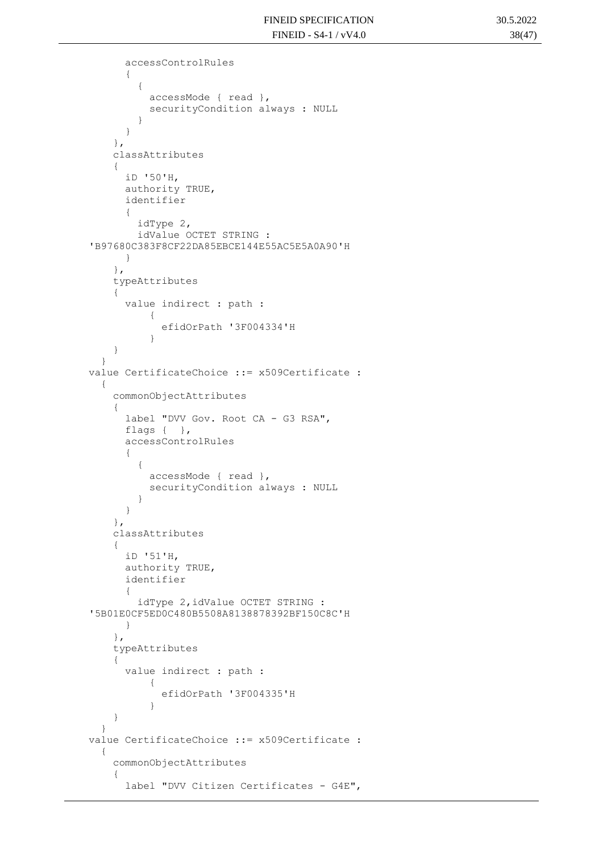```
 accessControlRules 
       {
\{ accessMode { read },
           securityCondition always : NULL
 }
       }
     },
     classAttributes 
     {
       iD '50'H,
       authority TRUE,
       identifier 
       {
         idType 2,
         idValue OCTET STRING : 
'B97680C383F8CF22DA85EBCE144E55AC5E5A0A90'H
      }
     },
     typeAttributes 
     {
       value indirect : path : 
 {
             efidOrPath '3F004334'H
 }
     }
   }
value CertificateChoice ::= x509Certificate : 
   {
     commonObjectAttributes 
     {
       label "DVV Gov. Root CA - G3 RSA",
       flags { },
       accessControlRules 
       {
\{ accessMode { read },
           securityCondition always : NULL
         }
       }
     },
     classAttributes 
     {
       iD '51'H,
       authority TRUE,
       identifier 
       {
         idType 2,idValue OCTET STRING : 
'5B01E0CF5ED0C480B5508A8138878392BF150C8C'H
      }
     },
     typeAttributes 
     {
       value indirect : path : 
\{ efidOrPath '3F004335'H
 }
     }
   }
value CertificateChoice ::= x509Certificate :
   {
     commonObjectAttributes 
     {
       label "DVV Citizen Certificates - G4E",
```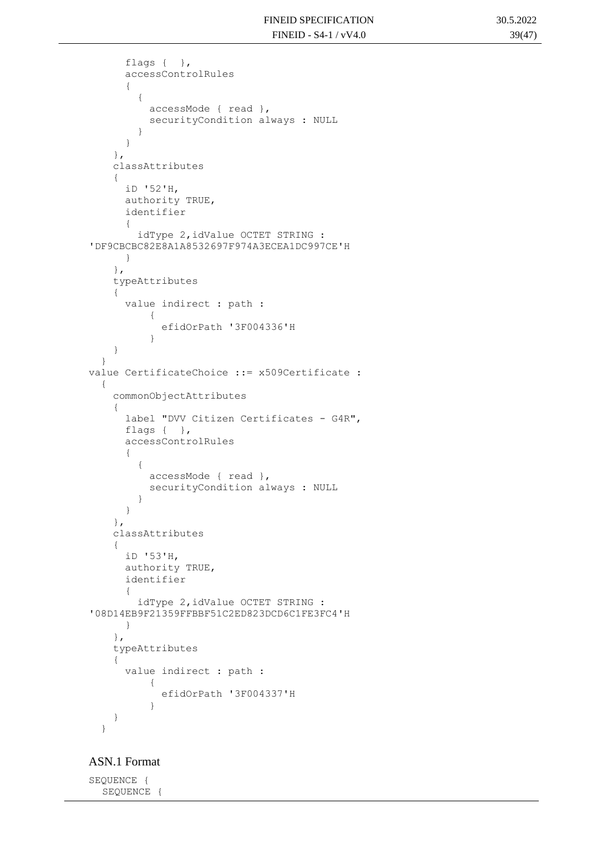```
 flags { },
       accessControlRules 
       {
\{ accessMode { read },
           securityCondition always : NULL
 }
       }
     },
     classAttributes 
     {
       iD '52'H,
       authority TRUE,
       identifier 
       {
         idType 2,idValue OCTET STRING : 
'DF9CBCBC82E8A1A8532697F974A3ECEA1DC997CE'H
      }
     },
     typeAttributes 
     {
       value indirect : path : 
           {
             efidOrPath '3F004336'H
 }
     }
   }
value CertificateChoice ::= x509Certificate : 
   {
     commonObjectAttributes 
     {
       label "DVV Citizen Certificates - G4R",
       flags { },
       accessControlRules 
       {
\{ accessMode { read },
           securityCondition always : NULL
         }
       }
     },
     classAttributes 
     {
       iD '53'H,
       authority TRUE,
       identifier 
       {
         idType 2,idValue OCTET STRING : 
'08D14EB9F21359FFBBF51C2ED823DCD6C1FE3FC4'H
       }
     },
     typeAttributes 
     {
       value indirect : path : 
\{ efidOrPath '3F004337'H
           }
     }
   }
```
ASN.1 Format

SEQUENCE { SEQUENCE {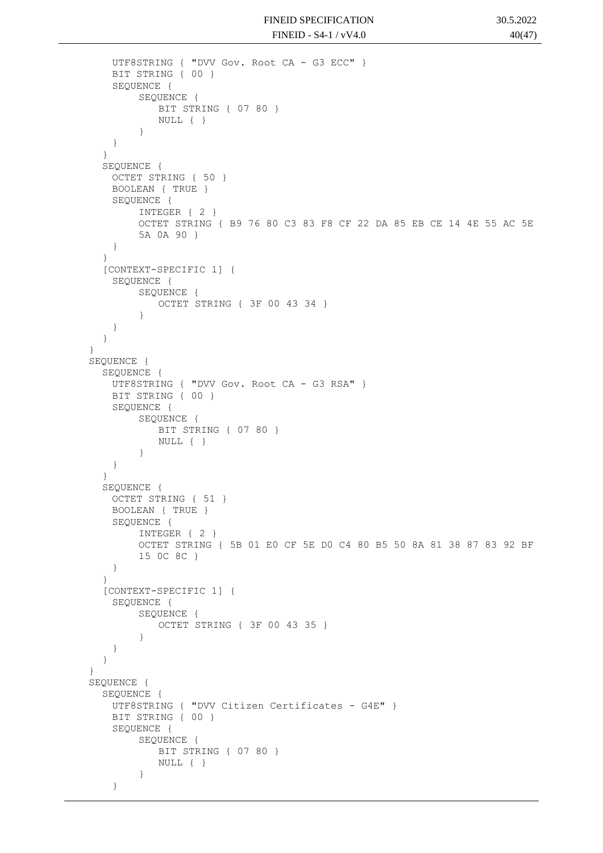```
UTF8STRING { "DVV Gov. Root CA - G3 ECC" }
   BIT STRING { 00 }
   SEQUENCE {
        SEQUENCE {
           BIT STRING { 07 80 }
           NULL { }
        }
    }
  }
  SEQUENCE {
   OCTET STRING { 50 }
   BOOLEAN { TRUE }
   SEQUENCE {
        INTEGER { 2 }
        OCTET STRING { B9 76 80 C3 83 F8 CF 22 DA 85 EB CE 14 4E 55 AC 5E 
        5A 0A 90 }
    }
  }
  [CONTEXT-SPECIFIC 1] {
   SEQUENCE {
        SEQUENCE {
           OCTET STRING { 3F 00 43 34 }
        }
   }
  }
}
SEQUENCE {
  SEQUENCE {
   UTF8STRING { "DVV Gov. Root CA - G3 RSA" }
   BIT STRING { 00 }
   SEQUENCE {
        SEQUENCE {
           BIT STRING { 07 80 }
           NULL { }
        }
   }
  }
  SEQUENCE {
   OCTET STRING { 51 }
   BOOLEAN { TRUE }
   SEQUENCE {
        INTEGER { 2 }
        OCTET STRING { 5B 01 E0 CF 5E D0 C4 80 B5 50 8A 81 38 87 83 92 BF 
        15 0C 8C }
    }
  }
  [CONTEXT-SPECIFIC 1] {
   SEQUENCE {
        SEQUENCE {
           OCTET STRING { 3F 00 43 35 }
        }
   }
  }
}
SEQUENCE {
  SEQUENCE {
   UTF8STRING { "DVV Citizen Certificates - G4E" }
   BIT STRING { 00 }
   SEQUENCE {
        SEQUENCE {
           BIT STRING { 07 80 }
           NULL { }
        }
    }
```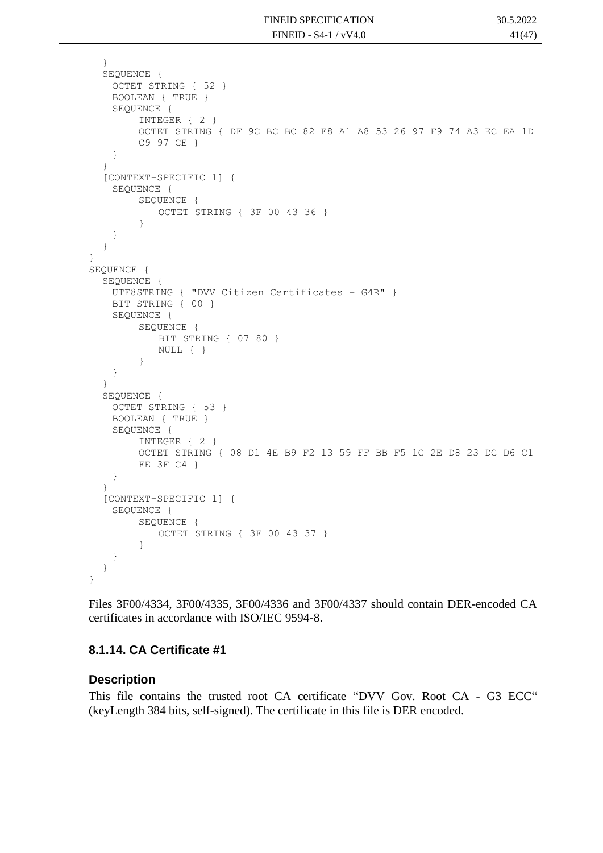```
}
  SEQUENCE {
   OCTET STRING { 52 }
   BOOLEAN { TRUE }
   SEQUENCE {
        INTEGER { 2 }
        OCTET STRING { DF 9C BC BC 82 E8 A1 A8 53 26 97 F9 74 A3 EC EA 1D 
        C9 97 CE }
    }
  }
  [CONTEXT-SPECIFIC 1] {
   SEQUENCE {
        SEQUENCE {
            OCTET STRING { 3F 00 43 36 }
        }
    }
  }
}
SEQUENCE {
  SEQUENCE {
   UTF8STRING { "DVV Citizen Certificates - G4R" }
   BIT STRING { 00 }
   SEQUENCE {
        SEQUENCE {
            BIT STRING { 07 80 }
           NULL { }
        }
    }
  }
  SEOUENCE {
   OCTET STRING { 53 }
   BOOLEAN { TRUE }
   SEQUENCE {
        INTEGER { 2 }
        OCTET STRING { 08 D1 4E B9 F2 13 59 FF BB F5 1C 2E D8 23 DC D6 C1 
        FE 3F C4 }
    }
  }
  [CONTEXT-SPECIFIC 1] {
   SEQUENCE {
        SEQUENCE {
           OCTET STRING { 3F 00 43 37 }
        }
    }
  }
}
```
Files 3F00/4334, 3F00/4335, 3F00/4336 and 3F00/4337 should contain DER-encoded CA certificates in accordance with ISO/IEC 9594-8.

#### **8.1.14. CA Certificate #1**

#### **Description**

This file contains the trusted root CA certificate "DVV Gov. Root CA - G3 ECC" (keyLength 384 bits, self-signed). The certificate in this file is DER encoded.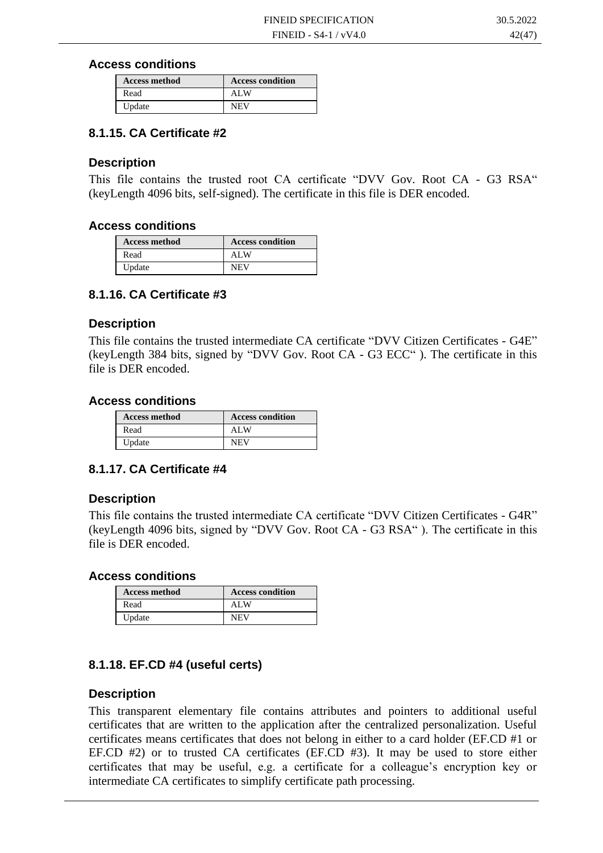#### **Access conditions**

| <b>Access method</b> | <b>Access condition</b> |
|----------------------|-------------------------|
| Read                 | ALW                     |
| Update               | <b>NEV</b>              |

#### **8.1.15. CA Certificate #2**

#### **Description**

This file contains the trusted root CA certificate "DVV Gov. Root CA - G3 RSA" (keyLength 4096 bits, self-signed). The certificate in this file is DER encoded.

#### **Access conditions**

| <b>Access method</b> | <b>Access condition</b> |
|----------------------|-------------------------|
| Read                 | ALW                     |
| Update               | <b>NEV</b>              |

#### **8.1.16. CA Certificate #3**

#### **Description**

This file contains the trusted intermediate CA certificate "DVV Citizen Certificates - G4E" (keyLength 384 bits, signed by "DVV Gov. Root CA - G3 ECC" ). The certificate in this file is DER encoded.

#### **Access conditions**

| <b>Access method</b> | <b>Access condition</b> |
|----------------------|-------------------------|
| Read                 | ALW                     |
| Update               | <b>NEV</b>              |

#### **8.1.17. CA Certificate #4**

#### **Description**

This file contains the trusted intermediate CA certificate "DVV Citizen Certificates - G4R" (keyLength 4096 bits, signed by "DVV Gov. Root CA - G3 RSA" ). The certificate in this file is DER encoded.

#### **Access conditions**

| <b>Access method</b> | <b>Access condition</b> |
|----------------------|-------------------------|
| Read                 | ALW                     |
| Update               | <b>NEV</b>              |

#### **8.1.18. EF.CD #4 (useful certs)**

#### **Description**

This transparent elementary file contains attributes and pointers to additional useful certificates that are written to the application after the centralized personalization. Useful certificates means certificates that does not belong in either to a card holder (EF.CD #1 or EF.CD #2) or to trusted CA certificates (EF.CD #3). It may be used to store either certificates that may be useful, e.g. a certificate for a colleague's encryption key or intermediate CA certificates to simplify certificate path processing.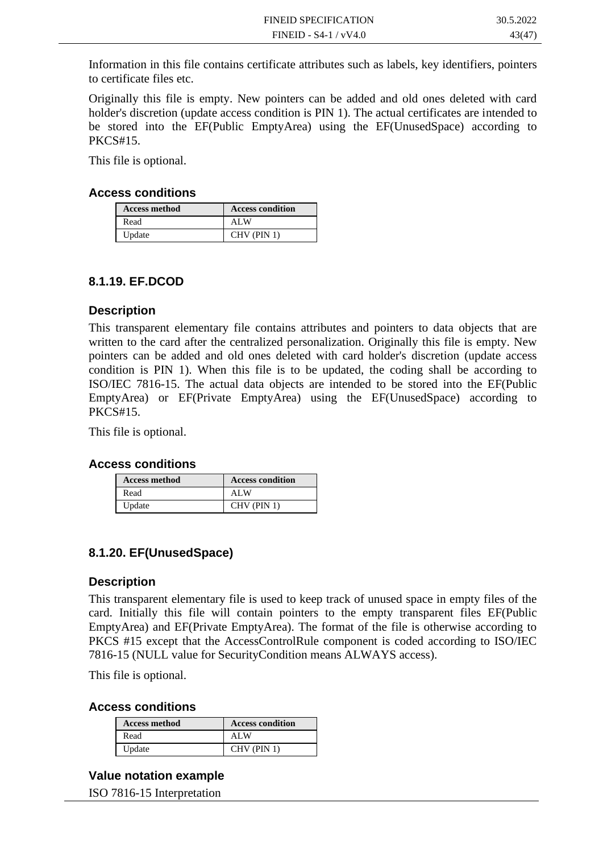Information in this file contains certificate attributes such as labels, key identifiers, pointers to certificate files etc.

Originally this file is empty. New pointers can be added and old ones deleted with card holder's discretion (update access condition is PIN 1). The actual certificates are intended to be stored into the EF(Public EmptyArea) using the EF(UnusedSpace) according to PKCS#15.

This file is optional.

#### **Access conditions**

| <b>Access method</b> | <b>Access condition</b> |
|----------------------|-------------------------|
| Read                 | ALW                     |
| Update               | $CHV$ (PIN 1)           |

#### **8.1.19. EF.DCOD**

#### **Description**

This transparent elementary file contains attributes and pointers to data objects that are written to the card after the centralized personalization. Originally this file is empty. New pointers can be added and old ones deleted with card holder's discretion (update access condition is PIN 1). When this file is to be updated, the coding shall be according to ISO/IEC 7816-15. The actual data objects are intended to be stored into the EF(Public EmptyArea) or EF(Private EmptyArea) using the EF(UnusedSpace) according to PKCS#15.

This file is optional.

#### **Access conditions**

| <b>Access method</b> | <b>Access condition</b> |
|----------------------|-------------------------|
| Read                 | ALW                     |
| Update               | $CHV$ (PIN 1)           |

#### **8.1.20. EF(UnusedSpace)**

#### **Description**

This transparent elementary file is used to keep track of unused space in empty files of the card. Initially this file will contain pointers to the empty transparent files EF(Public EmptyArea) and EF(Private EmptyArea). The format of the file is otherwise according to PKCS #15 except that the AccessControlRule component is coded according to ISO/IEC 7816-15 (NULL value for SecurityCondition means ALWAYS access).

This file is optional.

#### **Access conditions**

| <b>Access method</b> | <b>Access condition</b> |
|----------------------|-------------------------|
| Read                 | ALW                     |
| Update               | $CHV$ (PIN 1)           |

#### **Value notation example**

ISO 7816-15 Interpretation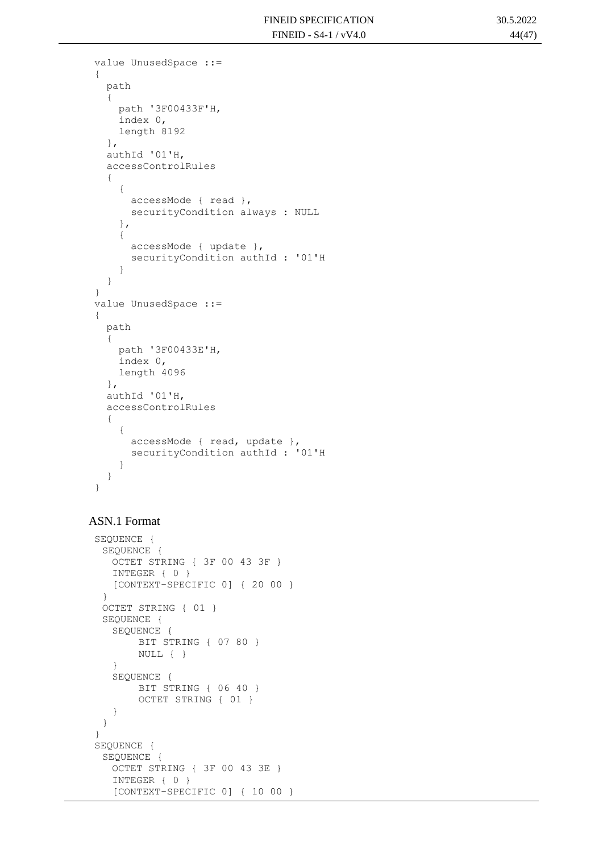```
value UnusedSpace ::= 
{
   path 
   {
     path '3F00433F'H,
     index 0,
     length 8192
   },
   authId '01'H,
   accessControlRules 
   {
     {
       accessMode { read },
       securityCondition always : NULL
     },
     {
       accessMode { update },
       securityCondition authId : '01'H
     }
   }
}
value UnusedSpace ::= 
{
   path 
   {
     path '3F00433E'H,
     index 0,
     length 4096
   },
   authId '01'H,
   accessControlRules 
   {
     {
       accessMode { read, update },
       securityCondition authId : '01'H
     }
   }
}
```
#### ASN.1 Format

```
SEQUENCE {
 SEQUENCE {
  OCTET STRING { 3F 00 43 3F }
  INTEGER { 0 }
   [CONTEXT-SPECIFIC 0] { 20 00 }
 }
 OCTET STRING { 01 }
 SEQUENCE {
   SEQUENCE {
       BIT STRING { 07 80 }
       NULL { }
   }
   SEQUENCE {
       BIT STRING { 06 40 }
       OCTET STRING { 01 }
   }
 }
}
SEQUENCE {
 SEQUENCE {
  OCTET STRING { 3F 00 43 3E }
  INTEGER { 0 }
  [CONTEXT-SPECIFIC 0] { 10 00 }
```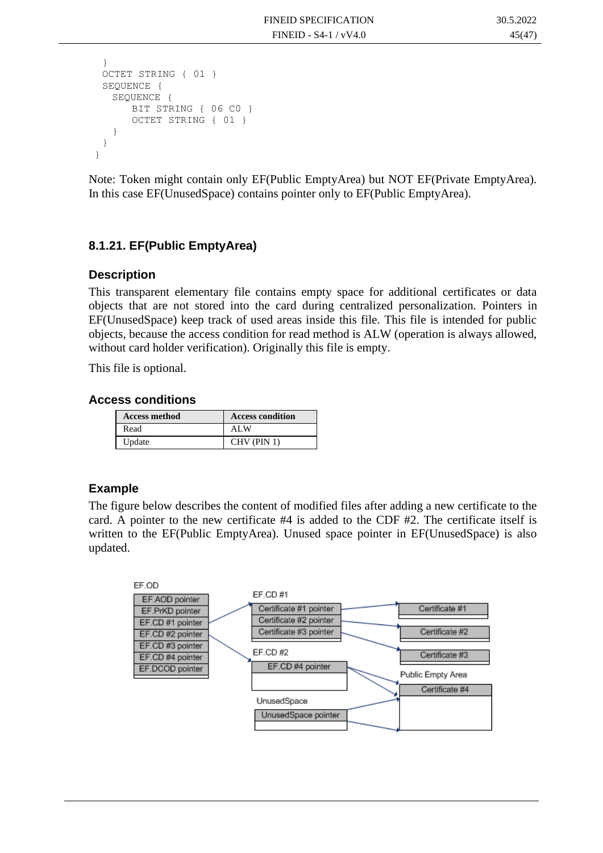```
}
 OCTET STRING { 01 }
 SEQUENCE {
   SEQUENCE {
      BIT STRING { 06 CO }
      OCTET STRING { 01 }
   }
 }
}
```
Note: Token might contain only EF(Public EmptyArea) but NOT EF(Private EmptyArea). In this case EF(UnusedSpace) contains pointer only to EF(Public EmptyArea).

### **8.1.21. EF(Public EmptyArea)**

#### **Description**

This transparent elementary file contains empty space for additional certificates or data objects that are not stored into the card during centralized personalization. Pointers in EF(UnusedSpace) keep track of used areas inside this file. This file is intended for public objects, because the access condition for read method is ALW (operation is always allowed, without card holder verification). Originally this file is empty.

This file is optional.

#### **Access conditions**

| <b>Access method</b> | <b>Access condition</b> |
|----------------------|-------------------------|
| Read                 | ALW                     |
| Update               | $CHV$ (PIN 1)           |

#### **Example**

The figure below describes the content of modified files after adding a new certificate to the card. A pointer to the new certificate #4 is added to the CDF #2. The certificate itself is written to the EF(Public EmptyArea). Unused space pointer in EF(UnusedSpace) is also updated.

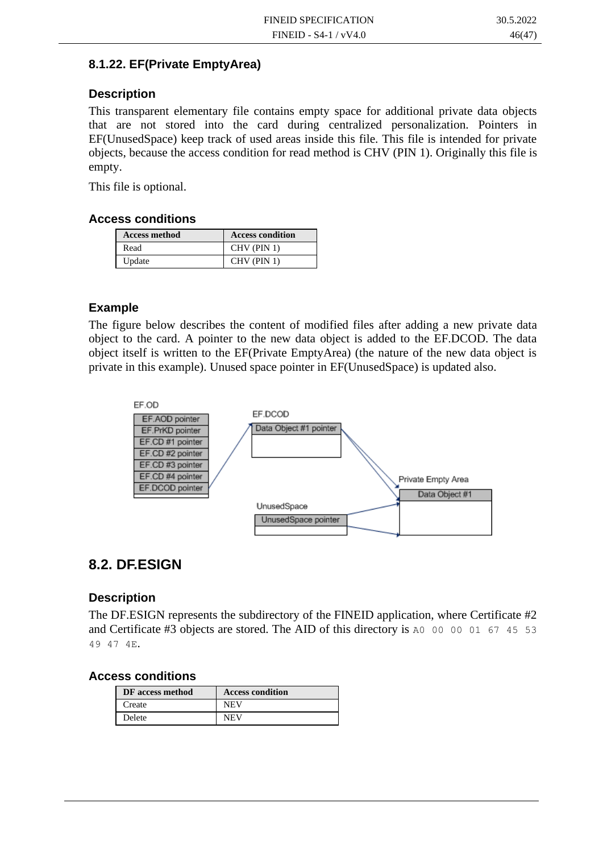#### **8.1.22. EF(Private EmptyArea)**

#### **Description**

This transparent elementary file contains empty space for additional private data objects that are not stored into the card during centralized personalization. Pointers in EF(UnusedSpace) keep track of used areas inside this file. This file is intended for private objects, because the access condition for read method is CHV (PIN 1). Originally this file is empty.

This file is optional.

#### **Access conditions**

| <b>Access method</b> | <b>Access condition</b> |
|----------------------|-------------------------|
| Read                 | $CHV$ (PIN 1)           |
| Update               | CHV (PIN 1)             |

#### **Example**

The figure below describes the content of modified files after adding a new private data object to the card. A pointer to the new data object is added to the EF.DCOD. The data object itself is written to the EF(Private EmptyArea) (the nature of the new data object is private in this example). Unused space pointer in EF(UnusedSpace) is updated also.



### **8.2. DF.ESIGN**

#### **Description**

The DF.ESIGN represents the subdirectory of the FINEID application, where Certificate #2 and Certificate #3 objects are stored. The AID of this directory is A0 00 00 01 67 45 53 49 47 4E.

#### **Access conditions**

| DF access method | <b>Access condition</b> |
|------------------|-------------------------|
| Create           | <b>NEV</b>              |
| Delete           | NEV                     |